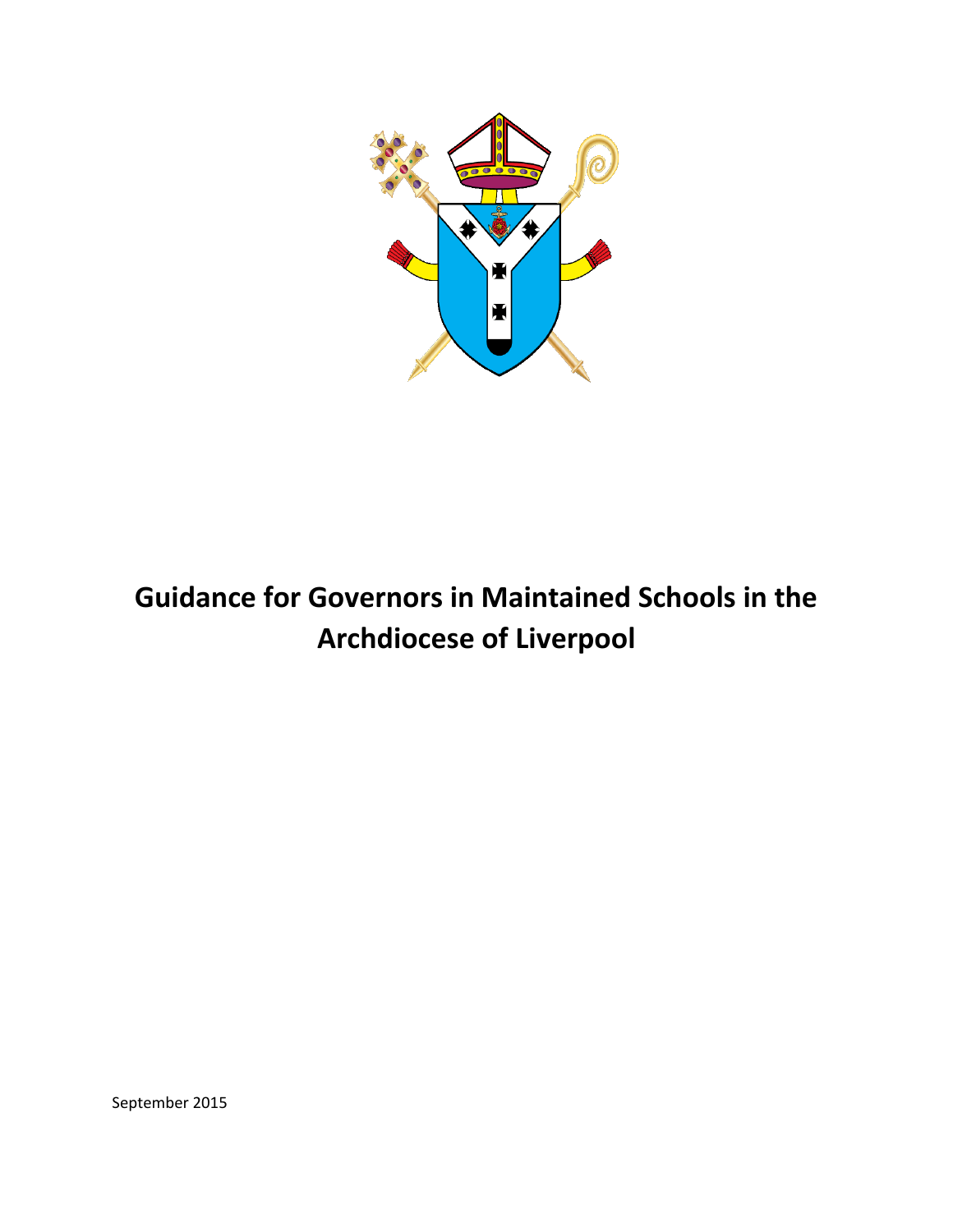

# **Guidance for Governors in Maintained Schools in the Archdiocese of Liverpool**

September 2015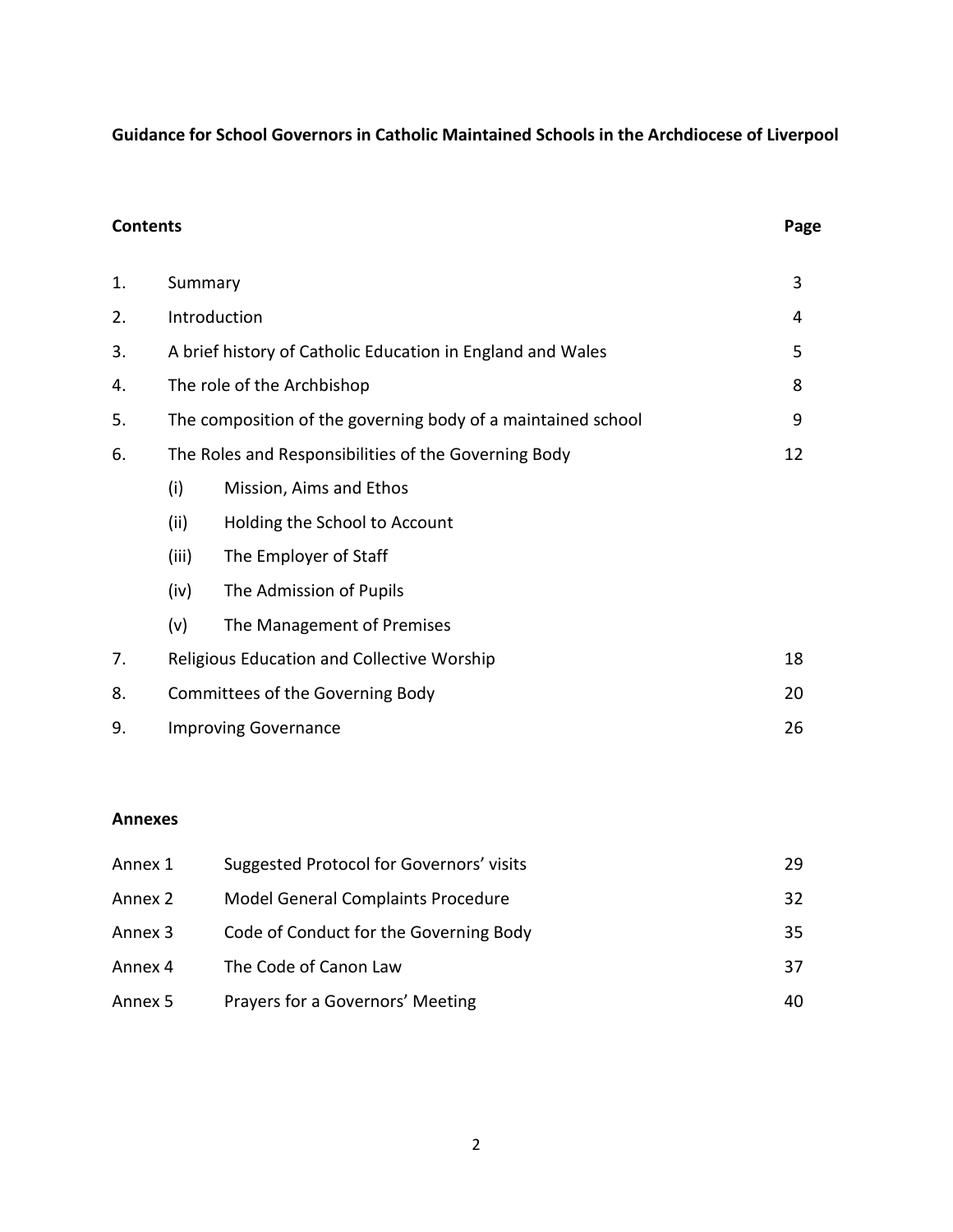# **Guidance for School Governors in Catholic Maintained Schools in the Archdiocese of Liverpool**

| <b>Contents</b> |                                                              |                               | Page |
|-----------------|--------------------------------------------------------------|-------------------------------|------|
| 1.              | Summary                                                      |                               | 3    |
| 2.              | Introduction                                                 |                               | 4    |
| 3.              | A brief history of Catholic Education in England and Wales   | 5                             |      |
| 4.              | The role of the Archbishop                                   | 8                             |      |
| 5.              | The composition of the governing body of a maintained school |                               | 9    |
| 6.              | The Roles and Responsibilities of the Governing Body         |                               |      |
|                 | (i)                                                          | Mission, Aims and Ethos       |      |
|                 | (ii)                                                         | Holding the School to Account |      |
|                 | (iii)                                                        | The Employer of Staff         |      |
|                 | (iv)                                                         | The Admission of Pupils       |      |
|                 | (v)                                                          | The Management of Premises    |      |
| 7.              | Religious Education and Collective Worship                   |                               | 18   |
| 8.              | Committees of the Governing Body                             |                               | 20   |
| 9.              | <b>Improving Governance</b>                                  |                               | 26   |

## **Annexes**

| Annex 1 | Suggested Protocol for Governors' visits | 29 |
|---------|------------------------------------------|----|
| Annex 2 | Model General Complaints Procedure       | 32 |
| Annex 3 | Code of Conduct for the Governing Body   | 35 |
| Annex 4 | The Code of Canon Law                    | 37 |
| Annex 5 | Prayers for a Governors' Meeting         | 40 |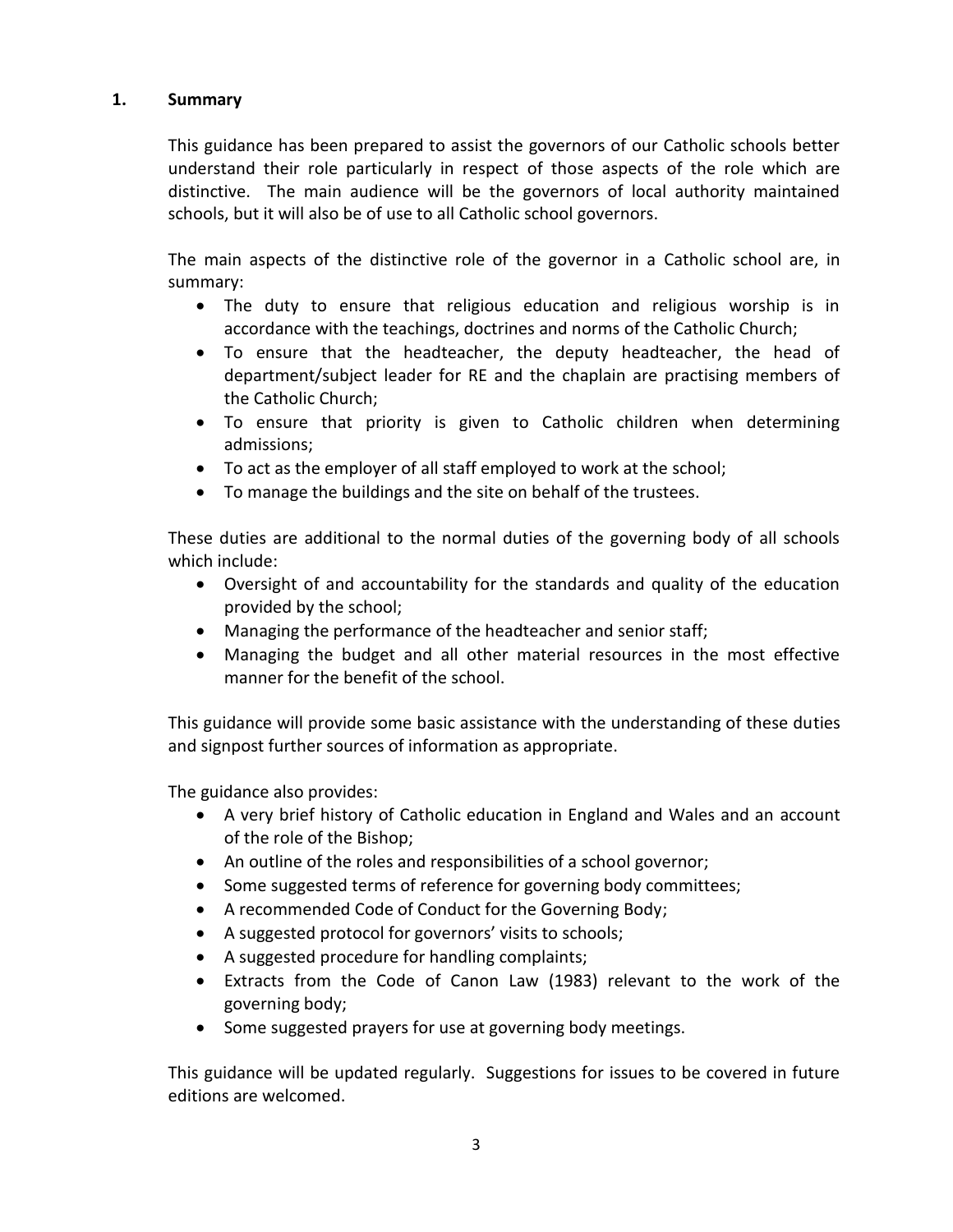## **1. Summary**

This guidance has been prepared to assist the governors of our Catholic schools better understand their role particularly in respect of those aspects of the role which are distinctive. The main audience will be the governors of local authority maintained schools, but it will also be of use to all Catholic school governors.

The main aspects of the distinctive role of the governor in a Catholic school are, in summary:

- The duty to ensure that religious education and religious worship is in accordance with the teachings, doctrines and norms of the Catholic Church;
- To ensure that the headteacher, the deputy headteacher, the head of department/subject leader for RE and the chaplain are practising members of the Catholic Church;
- To ensure that priority is given to Catholic children when determining admissions;
- To act as the employer of all staff employed to work at the school;
- To manage the buildings and the site on behalf of the trustees.

These duties are additional to the normal duties of the governing body of all schools which include:

- Oversight of and accountability for the standards and quality of the education provided by the school;
- Managing the performance of the headteacher and senior staff;
- Managing the budget and all other material resources in the most effective manner for the benefit of the school.

This guidance will provide some basic assistance with the understanding of these duties and signpost further sources of information as appropriate.

The guidance also provides:

- A very brief history of Catholic education in England and Wales and an account of the role of the Bishop;
- An outline of the roles and responsibilities of a school governor;
- Some suggested terms of reference for governing body committees;
- A recommended Code of Conduct for the Governing Body;
- A suggested protocol for governors' visits to schools;
- A suggested procedure for handling complaints;
- Extracts from the Code of Canon Law (1983) relevant to the work of the governing body;
- Some suggested prayers for use at governing body meetings.

This guidance will be updated regularly. Suggestions for issues to be covered in future editions are welcomed.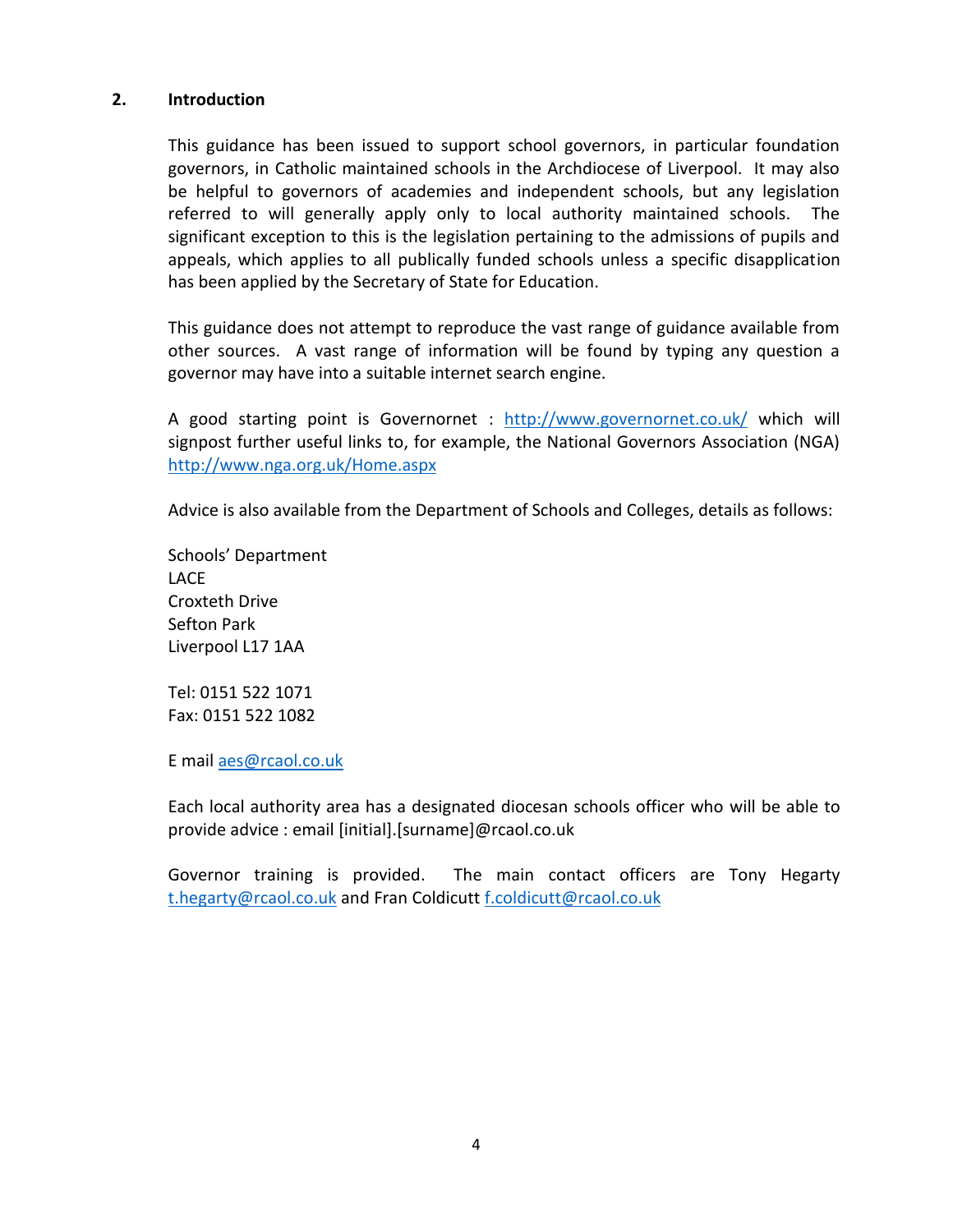#### **2. Introduction**

This guidance has been issued to support school governors, in particular foundation governors, in Catholic maintained schools in the Archdiocese of Liverpool. It may also be helpful to governors of academies and independent schools, but any legislation referred to will generally apply only to local authority maintained schools. The significant exception to this is the legislation pertaining to the admissions of pupils and appeals, which applies to all publically funded schools unless a specific disapplication has been applied by the Secretary of State for Education.

This guidance does not attempt to reproduce the vast range of guidance available from other sources. A vast range of information will be found by typing any question a governor may have into a suitable internet search engine.

A good starting point is Governornet : <http://www.governornet.co.uk/> which will signpost further useful links to, for example, the National Governors Association (NGA) <http://www.nga.org.uk/Home.aspx>

Advice is also available from the Department of Schools and Colleges, details as follows:

Schools' Department LACE Croxteth Drive Sefton Park Liverpool L17 1AA

Tel: 0151 522 1071 Fax: 0151 522 1082

E mail [aes@rcaol.co.uk](mailto:aes@rcaol.co.uk)

Each local authority area has a designated diocesan schools officer who will be able to provide advice : email [initial].[surname]@rcaol.co.uk

Governor training is provided. The main contact officers are Tony Hegarty [t.hegarty@rcaol.co.uk](mailto:t.hegarty@rcaol.co.uk) and Fran Coldicutt [f.coldicutt@rcaol.co.uk](mailto:f.coldicutt@rcaol.co.uk)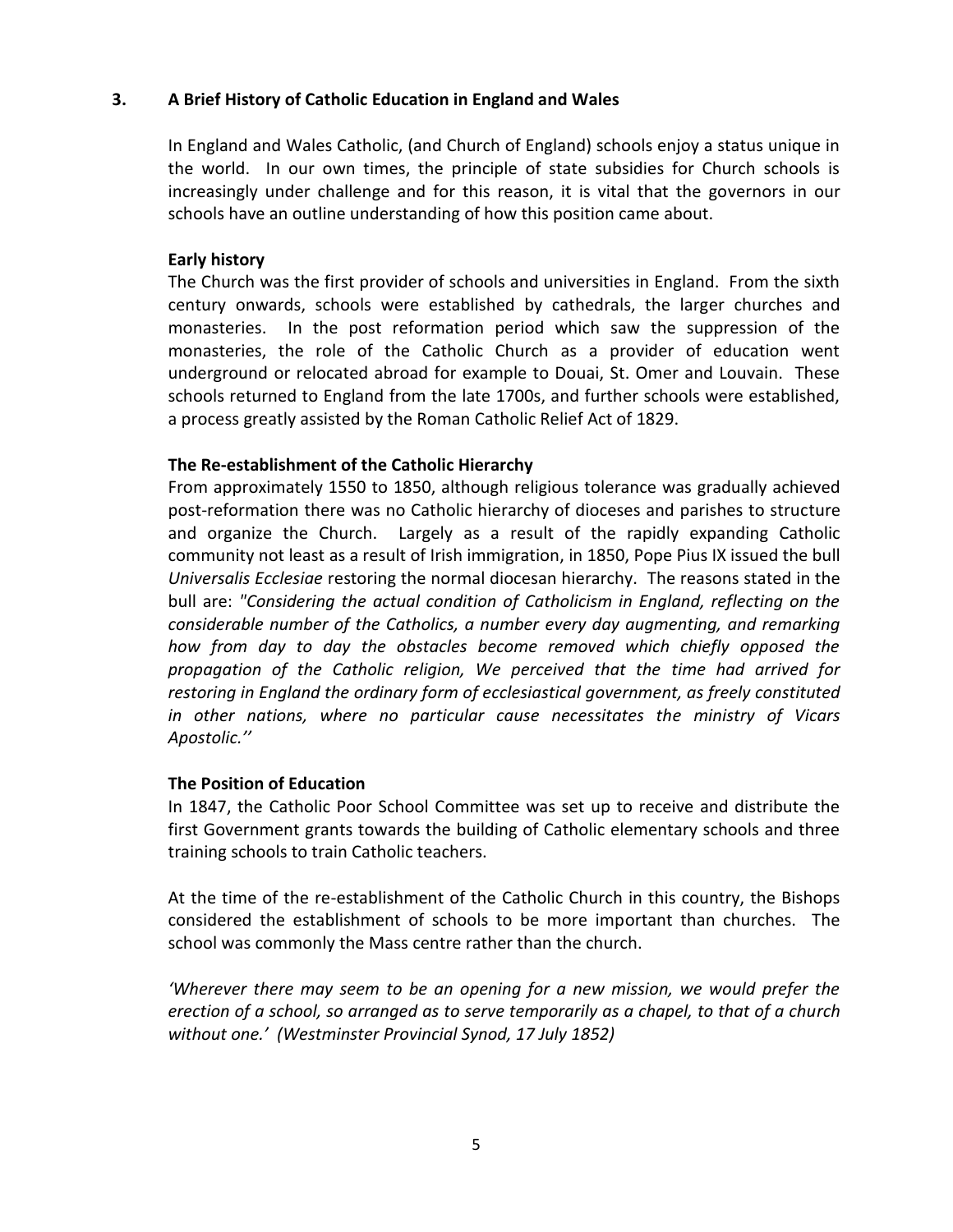## **3. A Brief History of Catholic Education in England and Wales**

In England and Wales Catholic, (and Church of England) schools enjoy a status unique in the world. In our own times, the principle of state subsidies for Church schools is increasingly under challenge and for this reason, it is vital that the governors in our schools have an outline understanding of how this position came about.

#### **Early history**

The Church was the first provider of schools and universities in England. From the sixth century onwards, schools were established by cathedrals, the larger churches and monasteries. In the post reformation period which saw the suppression of the monasteries, the role of the Catholic Church as a provider of education went underground or relocated abroad for example to Douai, St. Omer and Louvain. These schools returned to England from the late 1700s, and further schools were established, a process greatly assisted by the Roman Catholic Relief Act of 1829.

#### **The Re-establishment of the Catholic Hierarchy**

From approximately 1550 to 1850, although religious tolerance was gradually achieved post-reformation there was no Catholic hierarchy of dioceses and parishes to structure and organize the Church. Largely as a result of the rapidly expanding Catholic community not least as a result of Irish immigration, in 1850, Pope Pius IX issued the bull *Universalis Ecclesiae* restoring the normal diocesan hierarchy. The reasons stated in the bull are: *"Considering the actual condition of Catholicism in England, reflecting on the considerable number of the Catholics, a number every day augmenting, and remarking how from day to day the obstacles become removed which chiefly opposed the propagation of the Catholic religion, We perceived that the time had arrived for restoring in England the ordinary form of ecclesiastical government, as freely constituted in other nations, where no particular cause necessitates the ministry of Vicars Apostolic.''*

## **The Position of Education**

In 1847, the Catholic Poor School Committee was set up to receive and distribute the first Government grants towards the building of Catholic elementary schools and three training schools to train Catholic teachers.

At the time of the re-establishment of the Catholic Church in this country, the Bishops considered the establishment of schools to be more important than churches. The school was commonly the Mass centre rather than the church.

*'Wherever there may seem to be an opening for a new mission, we would prefer the erection of a school, so arranged as to serve temporarily as a chapel, to that of a church without one.' (Westminster Provincial Synod, 17 July 1852)*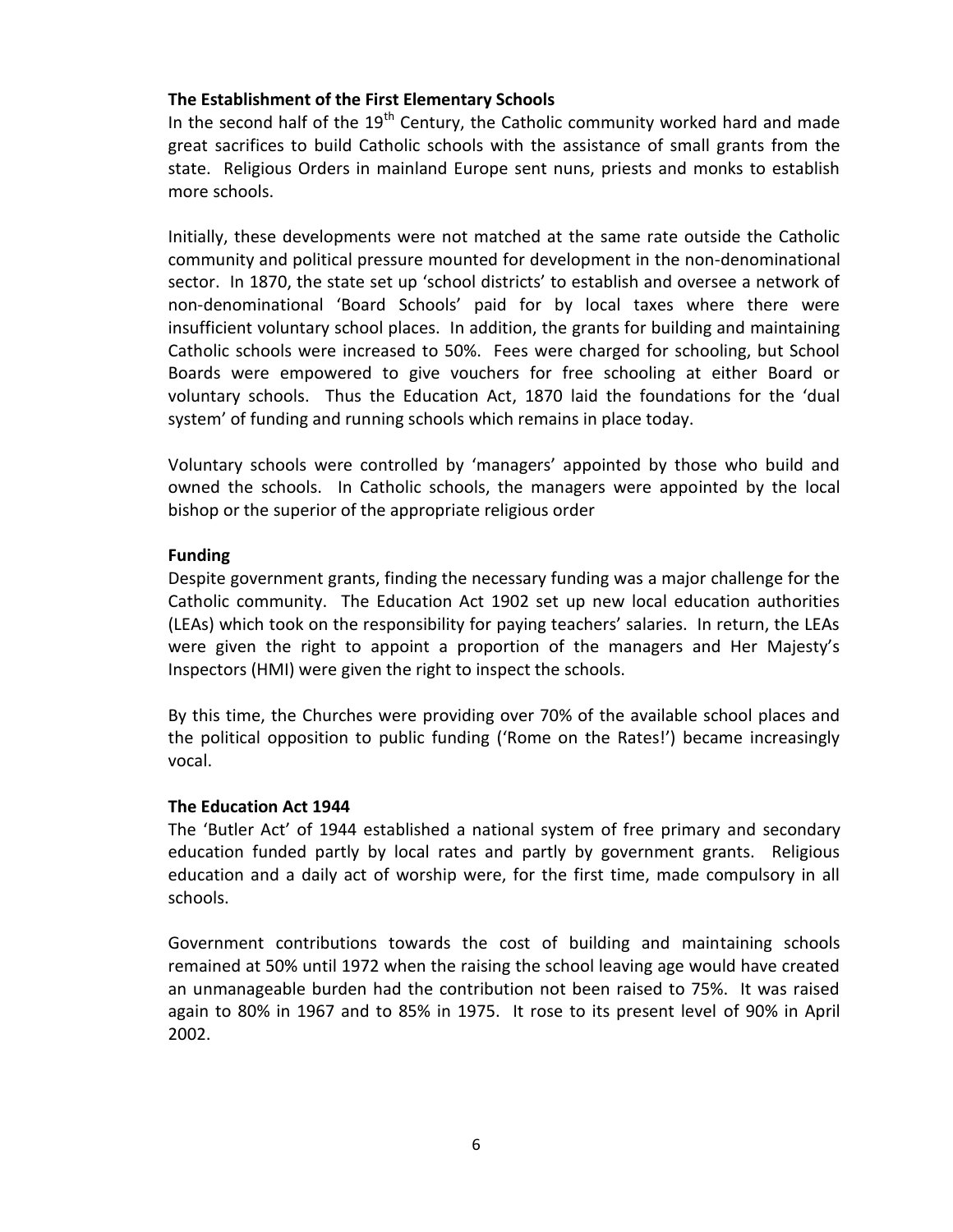## **The Establishment of the First Elementary Schools**

In the second half of the  $19<sup>th</sup>$  Century, the Catholic community worked hard and made great sacrifices to build Catholic schools with the assistance of small grants from the state. Religious Orders in mainland Europe sent nuns, priests and monks to establish more schools.

Initially, these developments were not matched at the same rate outside the Catholic community and political pressure mounted for development in the non-denominational sector. In 1870, the state set up 'school districts' to establish and oversee a network of non-denominational 'Board Schools' paid for by local taxes where there were insufficient voluntary school places. In addition, the grants for building and maintaining Catholic schools were increased to 50%. Fees were charged for schooling, but School Boards were empowered to give vouchers for free schooling at either Board or voluntary schools. Thus the Education Act, 1870 laid the foundations for the 'dual system' of funding and running schools which remains in place today.

Voluntary schools were controlled by 'managers' appointed by those who build and owned the schools. In Catholic schools, the managers were appointed by the local bishop or the superior of the appropriate religious order

## **Funding**

Despite government grants, finding the necessary funding was a major challenge for the Catholic community. The Education Act 1902 set up new local education authorities (LEAs) which took on the responsibility for paying teachers' salaries. In return, the LEAs were given the right to appoint a proportion of the managers and Her Majesty's Inspectors (HMI) were given the right to inspect the schools.

By this time, the Churches were providing over 70% of the available school places and the political opposition to public funding ('Rome on the Rates!') became increasingly vocal.

## **The Education Act 1944**

The 'Butler Act' of 1944 established a national system of free primary and secondary education funded partly by local rates and partly by government grants. Religious education and a daily act of worship were, for the first time, made compulsory in all schools.

Government contributions towards the cost of building and maintaining schools remained at 50% until 1972 when the raising the school leaving age would have created an unmanageable burden had the contribution not been raised to 75%. It was raised again to 80% in 1967 and to 85% in 1975. It rose to its present level of 90% in April 2002.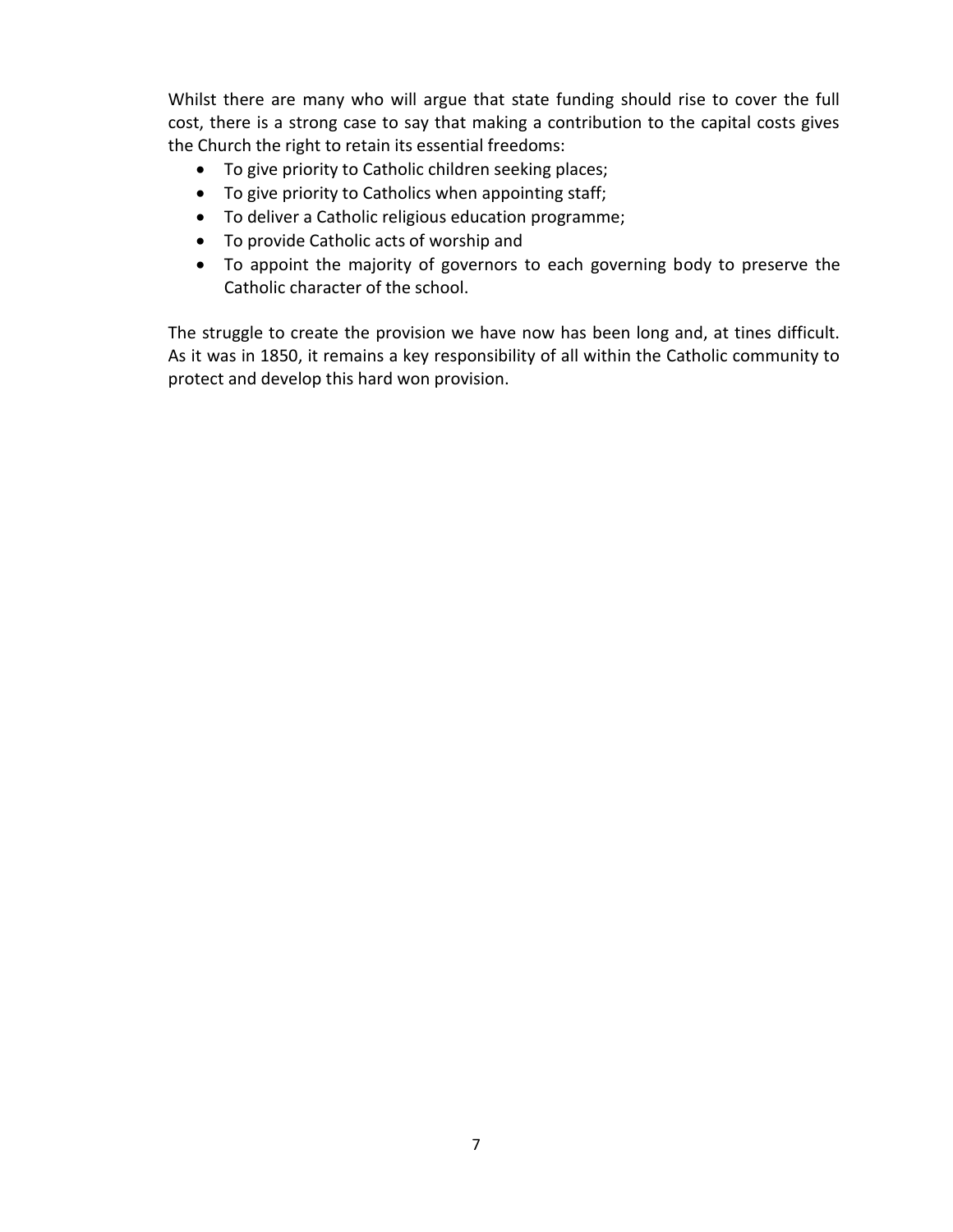Whilst there are many who will argue that state funding should rise to cover the full cost, there is a strong case to say that making a contribution to the capital costs gives the Church the right to retain its essential freedoms:

- To give priority to Catholic children seeking places;
- To give priority to Catholics when appointing staff;
- To deliver a Catholic religious education programme;
- To provide Catholic acts of worship and
- To appoint the majority of governors to each governing body to preserve the Catholic character of the school.

The struggle to create the provision we have now has been long and, at tines difficult. As it was in 1850, it remains a key responsibility of all within the Catholic community to protect and develop this hard won provision.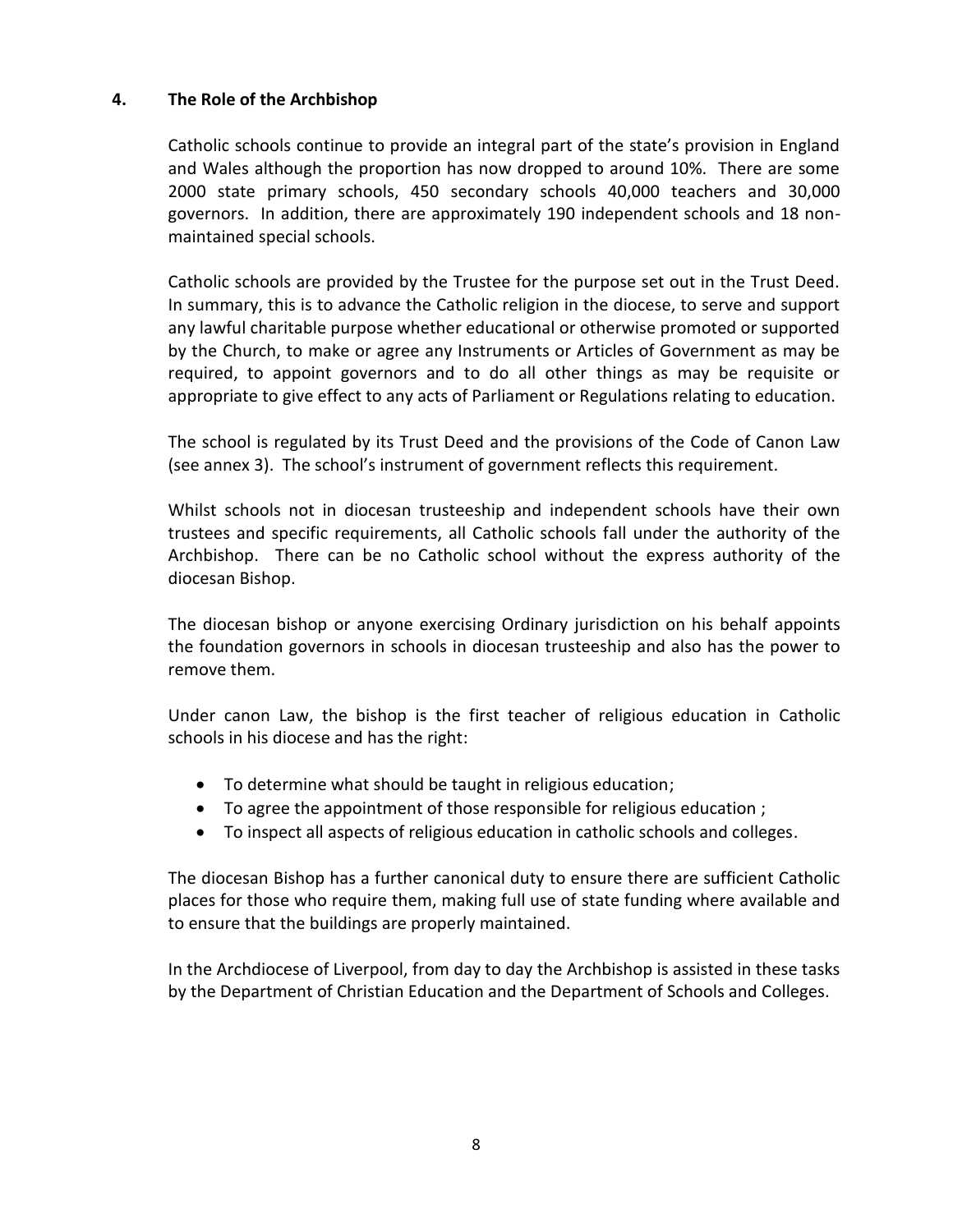## **4. The Role of the Archbishop**

Catholic schools continue to provide an integral part of the state's provision in England and Wales although the proportion has now dropped to around 10%. There are some 2000 state primary schools, 450 secondary schools 40,000 teachers and 30,000 governors. In addition, there are approximately 190 independent schools and 18 nonmaintained special schools.

Catholic schools are provided by the Trustee for the purpose set out in the Trust Deed. In summary, this is to advance the Catholic religion in the diocese, to serve and support any lawful charitable purpose whether educational or otherwise promoted or supported by the Church, to make or agree any Instruments or Articles of Government as may be required, to appoint governors and to do all other things as may be requisite or appropriate to give effect to any acts of Parliament or Regulations relating to education.

The school is regulated by its Trust Deed and the provisions of the Code of Canon Law (see annex 3). The school's instrument of government reflects this requirement.

Whilst schools not in diocesan trusteeship and independent schools have their own trustees and specific requirements, all Catholic schools fall under the authority of the Archbishop. There can be no Catholic school without the express authority of the diocesan Bishop.

The diocesan bishop or anyone exercising Ordinary jurisdiction on his behalf appoints the foundation governors in schools in diocesan trusteeship and also has the power to remove them.

Under canon Law, the bishop is the first teacher of religious education in Catholic schools in his diocese and has the right:

- To determine what should be taught in religious education;
- To agree the appointment of those responsible for religious education ;
- To inspect all aspects of religious education in catholic schools and colleges.

The diocesan Bishop has a further canonical duty to ensure there are sufficient Catholic places for those who require them, making full use of state funding where available and to ensure that the buildings are properly maintained.

In the Archdiocese of Liverpool, from day to day the Archbishop is assisted in these tasks by the Department of Christian Education and the Department of Schools and Colleges.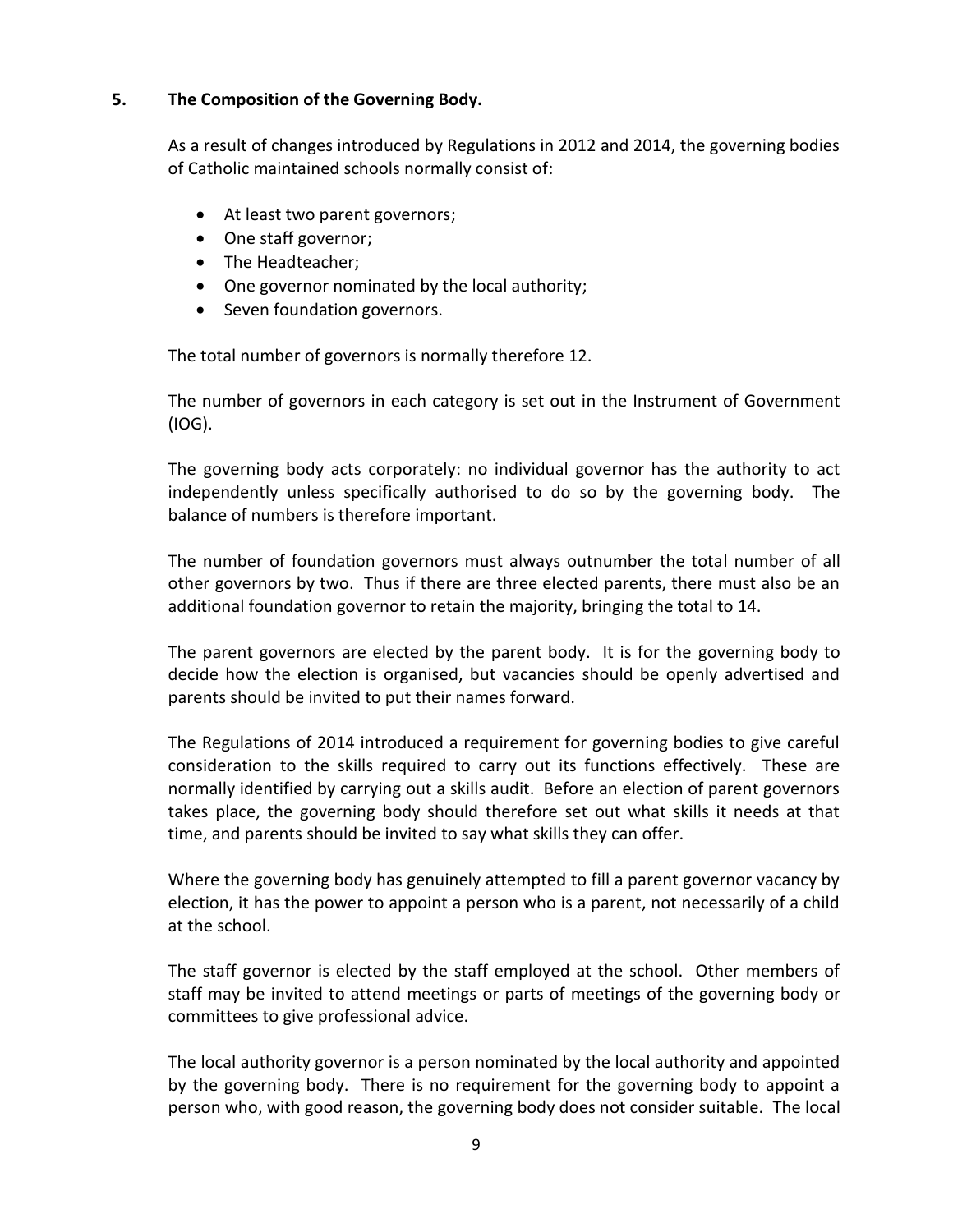## **5. The Composition of the Governing Body.**

As a result of changes introduced by Regulations in 2012 and 2014, the governing bodies of Catholic maintained schools normally consist of:

- At least two parent governors;
- One staff governor;
- The Headteacher;
- One governor nominated by the local authority;
- Seven foundation governors.

The total number of governors is normally therefore 12.

The number of governors in each category is set out in the Instrument of Government (IOG).

The governing body acts corporately: no individual governor has the authority to act independently unless specifically authorised to do so by the governing body. The balance of numbers is therefore important.

The number of foundation governors must always outnumber the total number of all other governors by two. Thus if there are three elected parents, there must also be an additional foundation governor to retain the majority, bringing the total to 14.

The parent governors are elected by the parent body. It is for the governing body to decide how the election is organised, but vacancies should be openly advertised and parents should be invited to put their names forward.

The Regulations of 2014 introduced a requirement for governing bodies to give careful consideration to the skills required to carry out its functions effectively. These are normally identified by carrying out a skills audit. Before an election of parent governors takes place, the governing body should therefore set out what skills it needs at that time, and parents should be invited to say what skills they can offer.

Where the governing body has genuinely attempted to fill a parent governor vacancy by election, it has the power to appoint a person who is a parent, not necessarily of a child at the school.

The staff governor is elected by the staff employed at the school. Other members of staff may be invited to attend meetings or parts of meetings of the governing body or committees to give professional advice.

The local authority governor is a person nominated by the local authority and appointed by the governing body. There is no requirement for the governing body to appoint a person who, with good reason, the governing body does not consider suitable. The local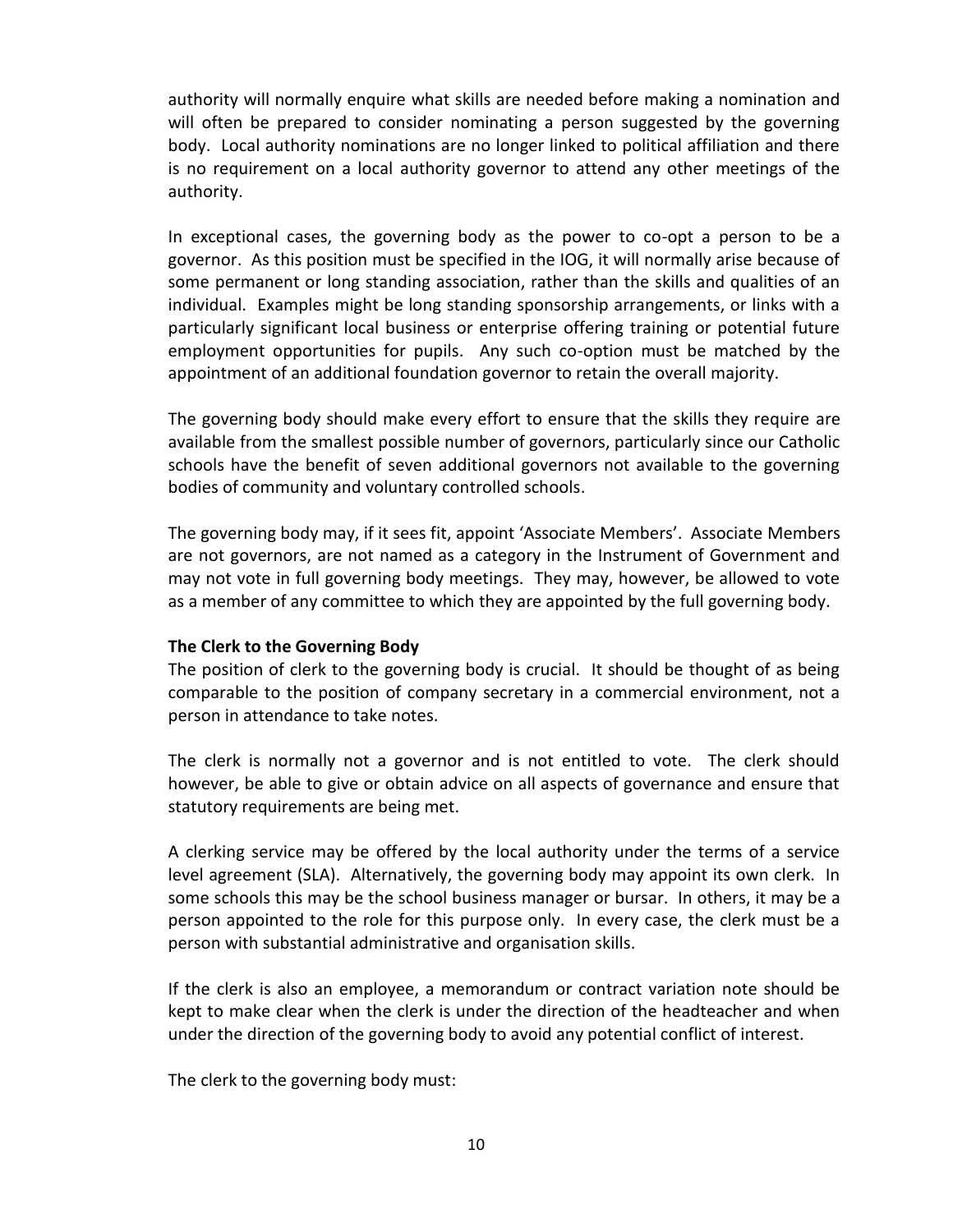authority will normally enquire what skills are needed before making a nomination and will often be prepared to consider nominating a person suggested by the governing body. Local authority nominations are no longer linked to political affiliation and there is no requirement on a local authority governor to attend any other meetings of the authority.

In exceptional cases, the governing body as the power to co-opt a person to be a governor. As this position must be specified in the IOG, it will normally arise because of some permanent or long standing association, rather than the skills and qualities of an individual. Examples might be long standing sponsorship arrangements, or links with a particularly significant local business or enterprise offering training or potential future employment opportunities for pupils. Any such co-option must be matched by the appointment of an additional foundation governor to retain the overall majority.

The governing body should make every effort to ensure that the skills they require are available from the smallest possible number of governors, particularly since our Catholic schools have the benefit of seven additional governors not available to the governing bodies of community and voluntary controlled schools.

The governing body may, if it sees fit, appoint 'Associate Members'. Associate Members are not governors, are not named as a category in the Instrument of Government and may not vote in full governing body meetings. They may, however, be allowed to vote as a member of any committee to which they are appointed by the full governing body.

## **The Clerk to the Governing Body**

The position of clerk to the governing body is crucial. It should be thought of as being comparable to the position of company secretary in a commercial environment, not a person in attendance to take notes.

The clerk is normally not a governor and is not entitled to vote. The clerk should however, be able to give or obtain advice on all aspects of governance and ensure that statutory requirements are being met.

A clerking service may be offered by the local authority under the terms of a service level agreement (SLA). Alternatively, the governing body may appoint its own clerk. In some schools this may be the school business manager or bursar. In others, it may be a person appointed to the role for this purpose only. In every case, the clerk must be a person with substantial administrative and organisation skills.

If the clerk is also an employee, a memorandum or contract variation note should be kept to make clear when the clerk is under the direction of the headteacher and when under the direction of the governing body to avoid any potential conflict of interest.

The clerk to the governing body must: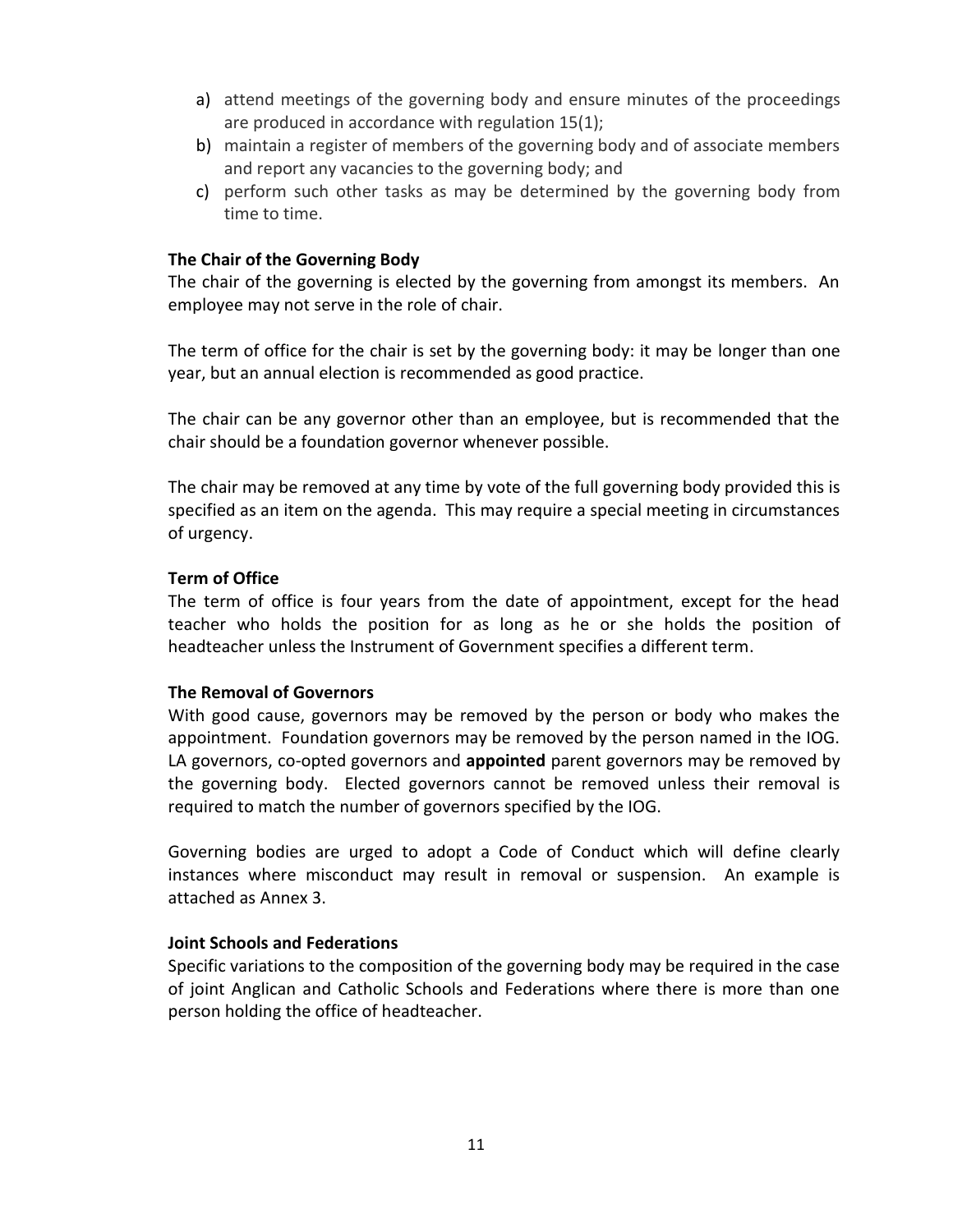- a) attend meetings of the governing body and ensure minutes of the proceedings are produced in accordance with regulation 15(1);
- b) maintain a register of members of the governing body and of associate members and report any vacancies to the governing body; and
- c) perform such other tasks as may be determined by the governing body from time to time.

## **The Chair of the Governing Body**

The chair of the governing is elected by the governing from amongst its members. An employee may not serve in the role of chair.

The term of office for the chair is set by the governing body: it may be longer than one year, but an annual election is recommended as good practice.

The chair can be any governor other than an employee, but is recommended that the chair should be a foundation governor whenever possible.

The chair may be removed at any time by vote of the full governing body provided this is specified as an item on the agenda. This may require a special meeting in circumstances of urgency.

## **Term of Office**

The term of office is four years from the date of appointment, except for the head teacher who holds the position for as long as he or she holds the position of headteacher unless the Instrument of Government specifies a different term.

## **The Removal of Governors**

With good cause, governors may be removed by the person or body who makes the appointment. Foundation governors may be removed by the person named in the IOG. LA governors, co-opted governors and **appointed** parent governors may be removed by the governing body. Elected governors cannot be removed unless their removal is required to match the number of governors specified by the IOG.

Governing bodies are urged to adopt a Code of Conduct which will define clearly instances where misconduct may result in removal or suspension. An example is attached as Annex 3.

# **Joint Schools and Federations**

Specific variations to the composition of the governing body may be required in the case of joint Anglican and Catholic Schools and Federations where there is more than one person holding the office of headteacher.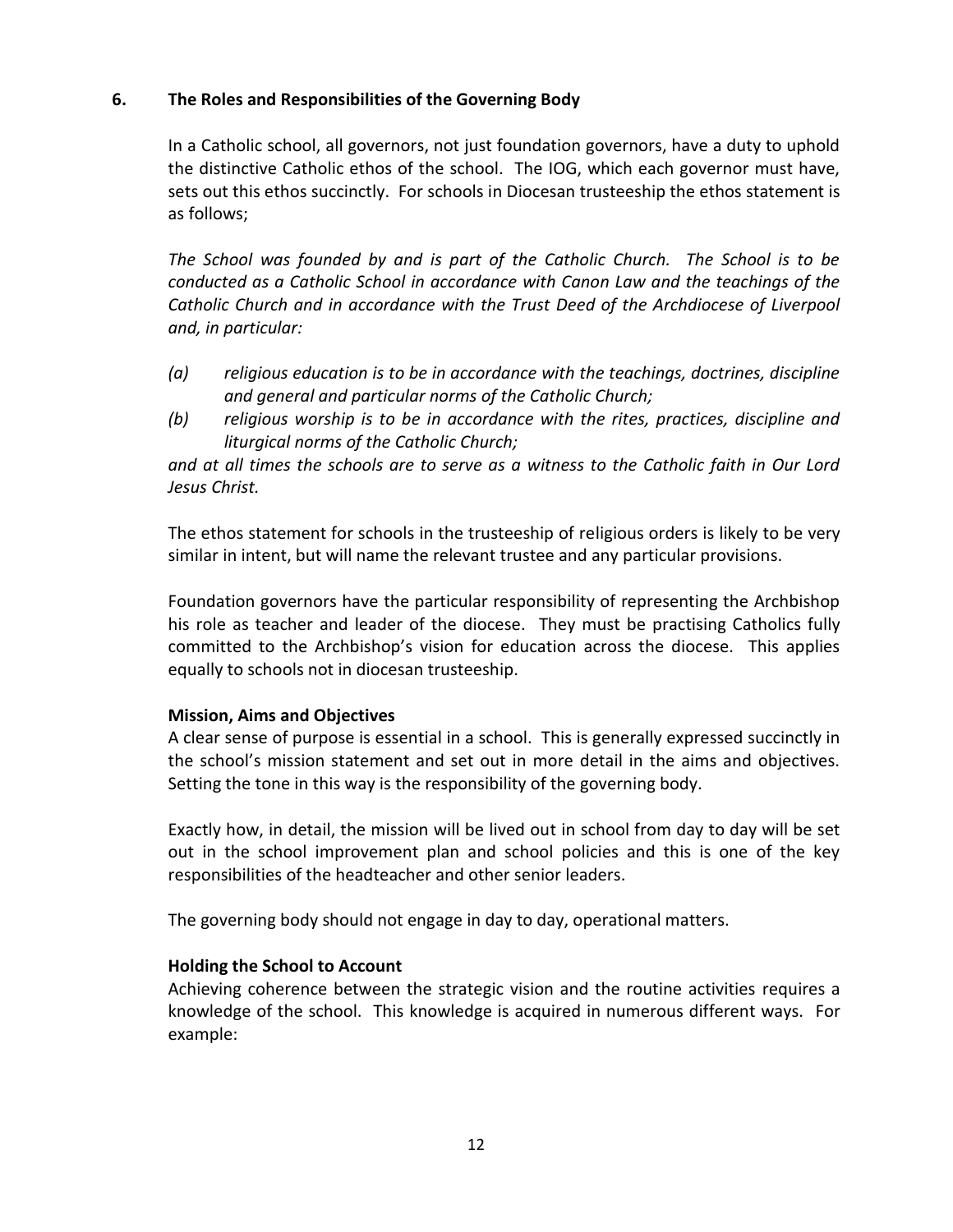## **6. The Roles and Responsibilities of the Governing Body**

In a Catholic school, all governors, not just foundation governors, have a duty to uphold the distinctive Catholic ethos of the school. The IOG, which each governor must have, sets out this ethos succinctly. For schools in Diocesan trusteeship the ethos statement is as follows;

*The School was founded by and is part of the Catholic Church. The School is to be conducted as a Catholic School in accordance with Canon Law and the teachings of the Catholic Church and in accordance with the Trust Deed of the Archdiocese of Liverpool and, in particular:*

- *(a) religious education is to be in accordance with the teachings, doctrines, discipline and general and particular norms of the Catholic Church;*
- *(b) religious worship is to be in accordance with the rites, practices, discipline and liturgical norms of the Catholic Church;*

*and at all times the schools are to serve as a witness to the Catholic faith in Our Lord Jesus Christ.*

The ethos statement for schools in the trusteeship of religious orders is likely to be very similar in intent, but will name the relevant trustee and any particular provisions.

Foundation governors have the particular responsibility of representing the Archbishop his role as teacher and leader of the diocese. They must be practising Catholics fully committed to the Archbishop's vision for education across the diocese. This applies equally to schools not in diocesan trusteeship.

## **Mission, Aims and Objectives**

A clear sense of purpose is essential in a school. This is generally expressed succinctly in the school's mission statement and set out in more detail in the aims and objectives. Setting the tone in this way is the responsibility of the governing body.

Exactly how, in detail, the mission will be lived out in school from day to day will be set out in the school improvement plan and school policies and this is one of the key responsibilities of the headteacher and other senior leaders.

The governing body should not engage in day to day, operational matters.

## **Holding the School to Account**

Achieving coherence between the strategic vision and the routine activities requires a knowledge of the school. This knowledge is acquired in numerous different ways. For example: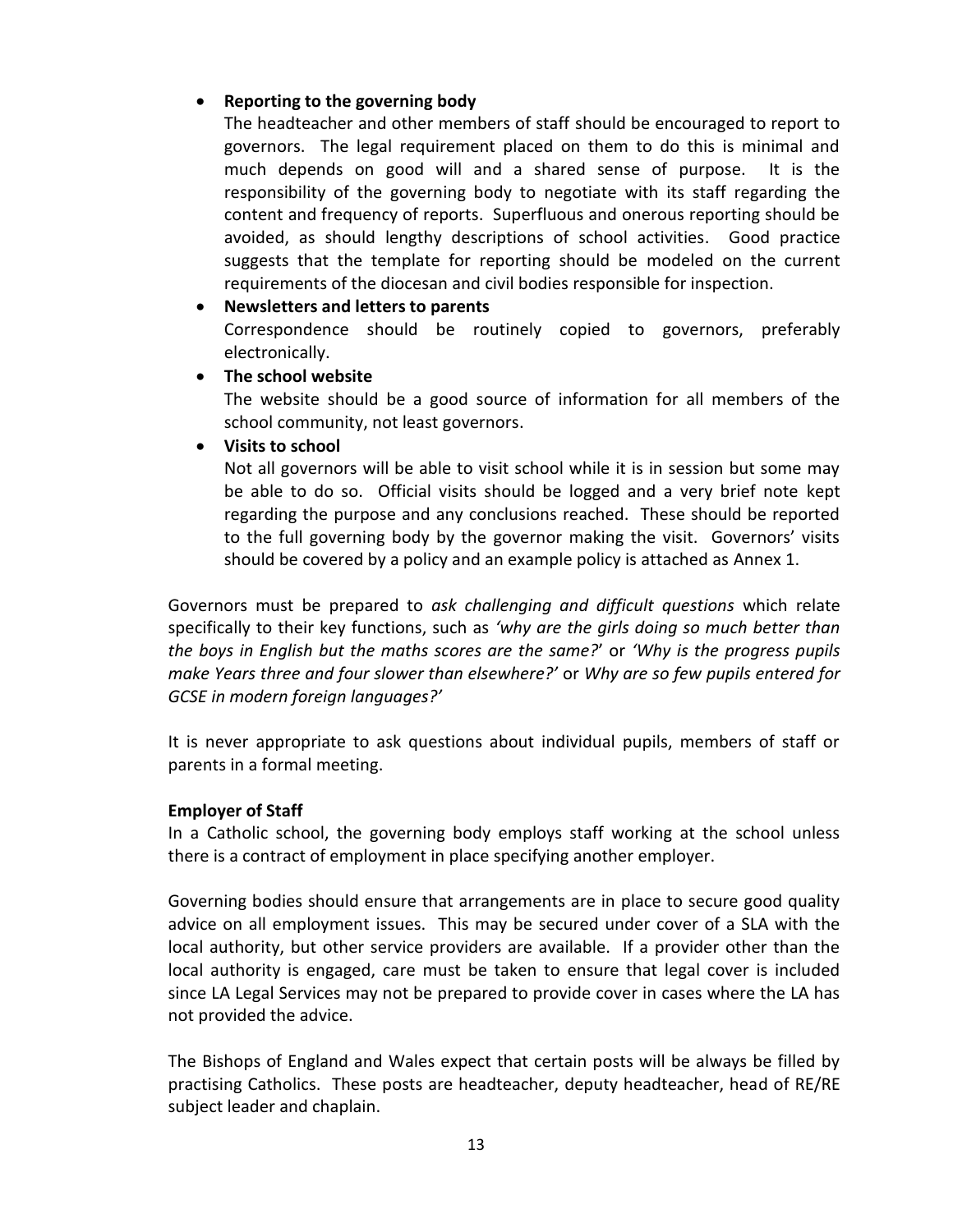# **Reporting to the governing body**

The headteacher and other members of staff should be encouraged to report to governors. The legal requirement placed on them to do this is minimal and much depends on good will and a shared sense of purpose. It is the responsibility of the governing body to negotiate with its staff regarding the content and frequency of reports. Superfluous and onerous reporting should be avoided, as should lengthy descriptions of school activities. Good practice suggests that the template for reporting should be modeled on the current requirements of the diocesan and civil bodies responsible for inspection.

## **Newsletters and letters to parents**

Correspondence should be routinely copied to governors, preferably electronically.

**The school website**

The website should be a good source of information for all members of the school community, not least governors.

## **Visits to school**

Not all governors will be able to visit school while it is in session but some may be able to do so. Official visits should be logged and a very brief note kept regarding the purpose and any conclusions reached. These should be reported to the full governing body by the governor making the visit. Governors' visits should be covered by a policy and an example policy is attached as Annex 1.

Governors must be prepared to *ask challenging and difficult questions* which relate specifically to their key functions, such as *'why are the girls doing so much better than the boys in English but the maths scores are the same?*' or *'Why is the progress pupils make Years three and four slower than elsewhere?'* or *Why are so few pupils entered for GCSE in modern foreign languages?'*

It is never appropriate to ask questions about individual pupils, members of staff or parents in a formal meeting.

## **Employer of Staff**

In a Catholic school, the governing body employs staff working at the school unless there is a contract of employment in place specifying another employer.

Governing bodies should ensure that arrangements are in place to secure good quality advice on all employment issues. This may be secured under cover of a SLA with the local authority, but other service providers are available. If a provider other than the local authority is engaged, care must be taken to ensure that legal cover is included since LA Legal Services may not be prepared to provide cover in cases where the LA has not provided the advice.

The Bishops of England and Wales expect that certain posts will be always be filled by practising Catholics. These posts are headteacher, deputy headteacher, head of RE/RE subject leader and chaplain.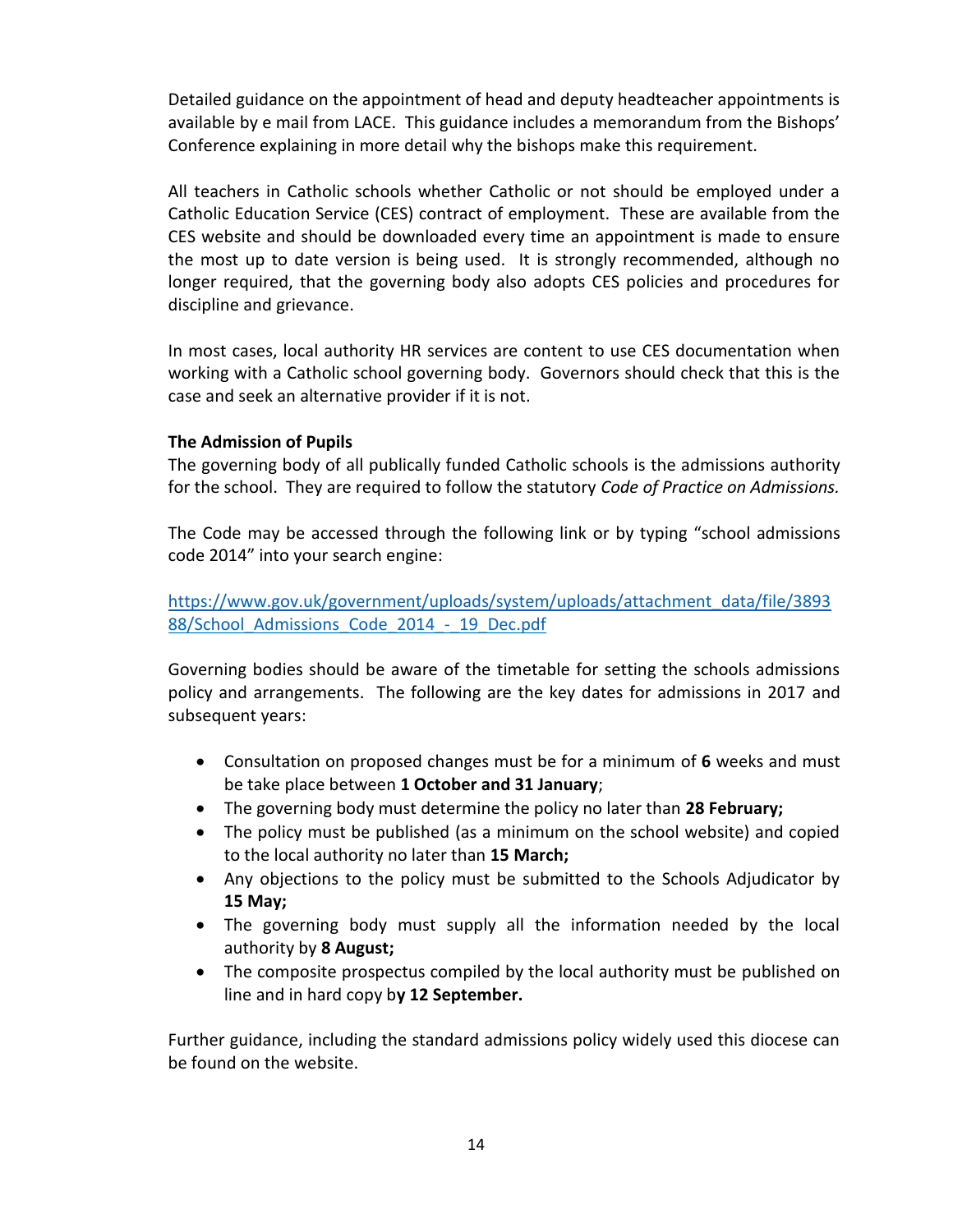Detailed guidance on the appointment of head and deputy headteacher appointments is available by e mail from LACE. This guidance includes a memorandum from the Bishops' Conference explaining in more detail why the bishops make this requirement.

All teachers in Catholic schools whether Catholic or not should be employed under a Catholic Education Service (CES) contract of employment. These are available from the CES website and should be downloaded every time an appointment is made to ensure the most up to date version is being used. It is strongly recommended, although no longer required, that the governing body also adopts CES policies and procedures for discipline and grievance.

In most cases, local authority HR services are content to use CES documentation when working with a Catholic school governing body. Governors should check that this is the case and seek an alternative provider if it is not.

## **The Admission of Pupils**

The governing body of all publically funded Catholic schools is the admissions authority for the school. They are required to follow the statutory *Code of Practice on Admissions.*

The Code may be accessed through the following link or by typing "school admissions code 2014" into your search engine:

[https://www.gov.uk/government/uploads/system/uploads/attachment\\_data/file/3893](https://www.gov.uk/government/uploads/system/uploads/attachment_data/file/389388/School_Admissions_Code_2014_-_19_Dec.pdf) 88/School Admissions Code 2014 - 19 Dec.pdf

Governing bodies should be aware of the timetable for setting the schools admissions policy and arrangements. The following are the key dates for admissions in 2017 and subsequent years:

- Consultation on proposed changes must be for a minimum of **6** weeks and must be take place between **1 October and 31 January**;
- The governing body must determine the policy no later than **28 February;**
- The policy must be published (as a minimum on the school website) and copied to the local authority no later than **15 March;**
- Any objections to the policy must be submitted to the Schools Adjudicator by **15 May;**
- The governing body must supply all the information needed by the local authority by **8 August;**
- The composite prospectus compiled by the local authority must be published on line and in hard copy b**y 12 September.**

Further guidance, including the standard admissions policy widely used this diocese can be found on the website.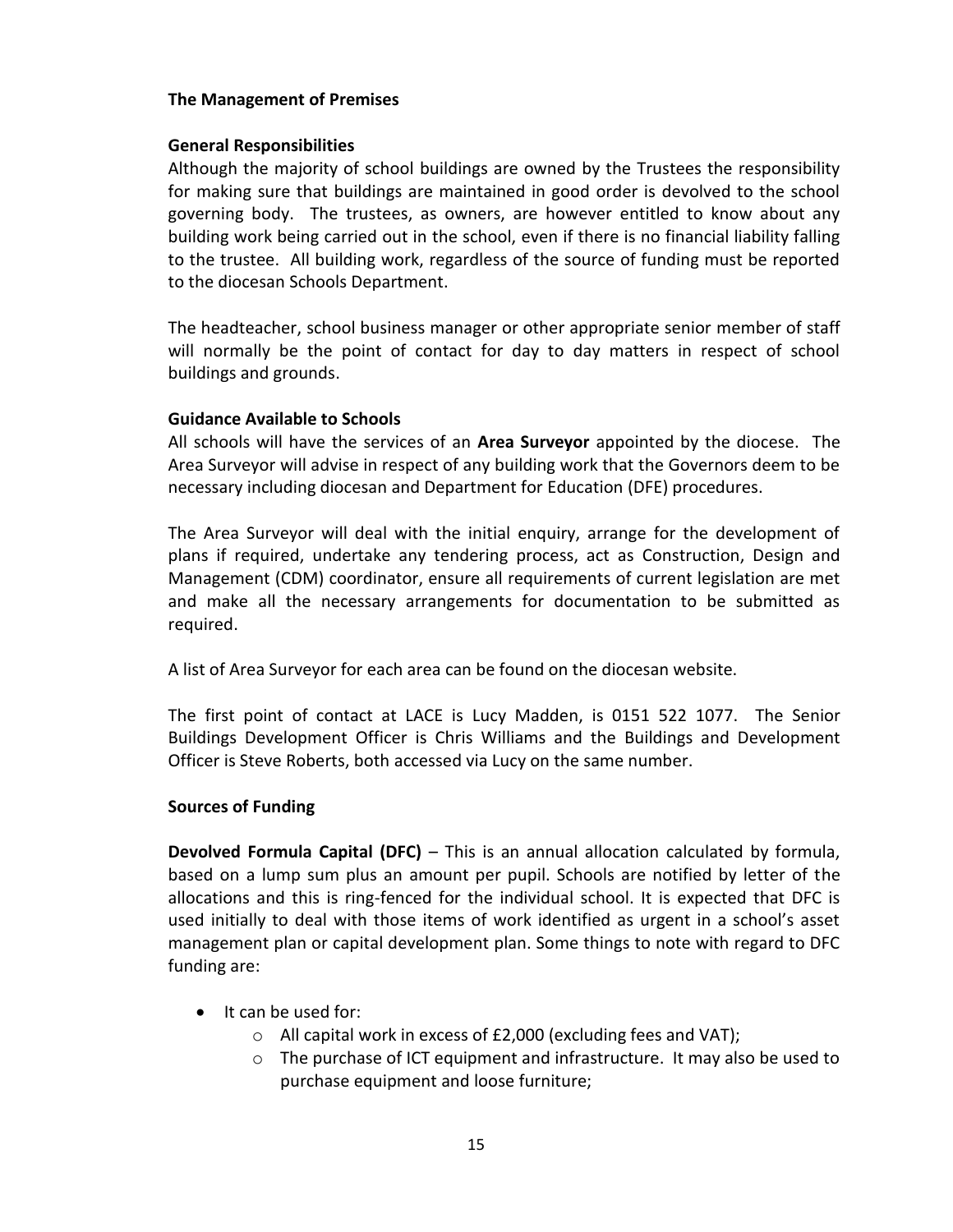#### **The Management of Premises**

#### **General Responsibilities**

Although the majority of school buildings are owned by the Trustees the responsibility for making sure that buildings are maintained in good order is devolved to the school governing body. The trustees, as owners, are however entitled to know about any building work being carried out in the school, even if there is no financial liability falling to the trustee. All building work, regardless of the source of funding must be reported to the diocesan Schools Department.

The headteacher, school business manager or other appropriate senior member of staff will normally be the point of contact for day to day matters in respect of school buildings and grounds.

## **Guidance Available to Schools**

All schools will have the services of an **Area Surveyor** appointed by the diocese. The Area Surveyor will advise in respect of any building work that the Governors deem to be necessary including diocesan and Department for Education (DFE) procedures.

The Area Surveyor will deal with the initial enquiry, arrange for the development of plans if required, undertake any tendering process, act as Construction, Design and Management (CDM) coordinator, ensure all requirements of current legislation are met and make all the necessary arrangements for documentation to be submitted as required.

A list of Area Surveyor for each area can be found on the diocesan website.

The first point of contact at LACE is Lucy Madden, is 0151 522 1077. The Senior Buildings Development Officer is Chris Williams and the Buildings and Development Officer is Steve Roberts, both accessed via Lucy on the same number.

## **Sources of Funding**

**Devolved Formula Capital (DFC)** – This is an annual allocation calculated by formula, based on a lump sum plus an amount per pupil. Schools are notified by letter of the allocations and this is ring-fenced for the individual school. It is expected that DFC is used initially to deal with those items of work identified as urgent in a school's asset management plan or capital development plan. Some things to note with regard to DFC funding are:

- It can be used for:
	- o All capital work in excess of £2,000 (excluding fees and VAT);
	- $\circ$  The purchase of ICT equipment and infrastructure. It may also be used to purchase equipment and loose furniture;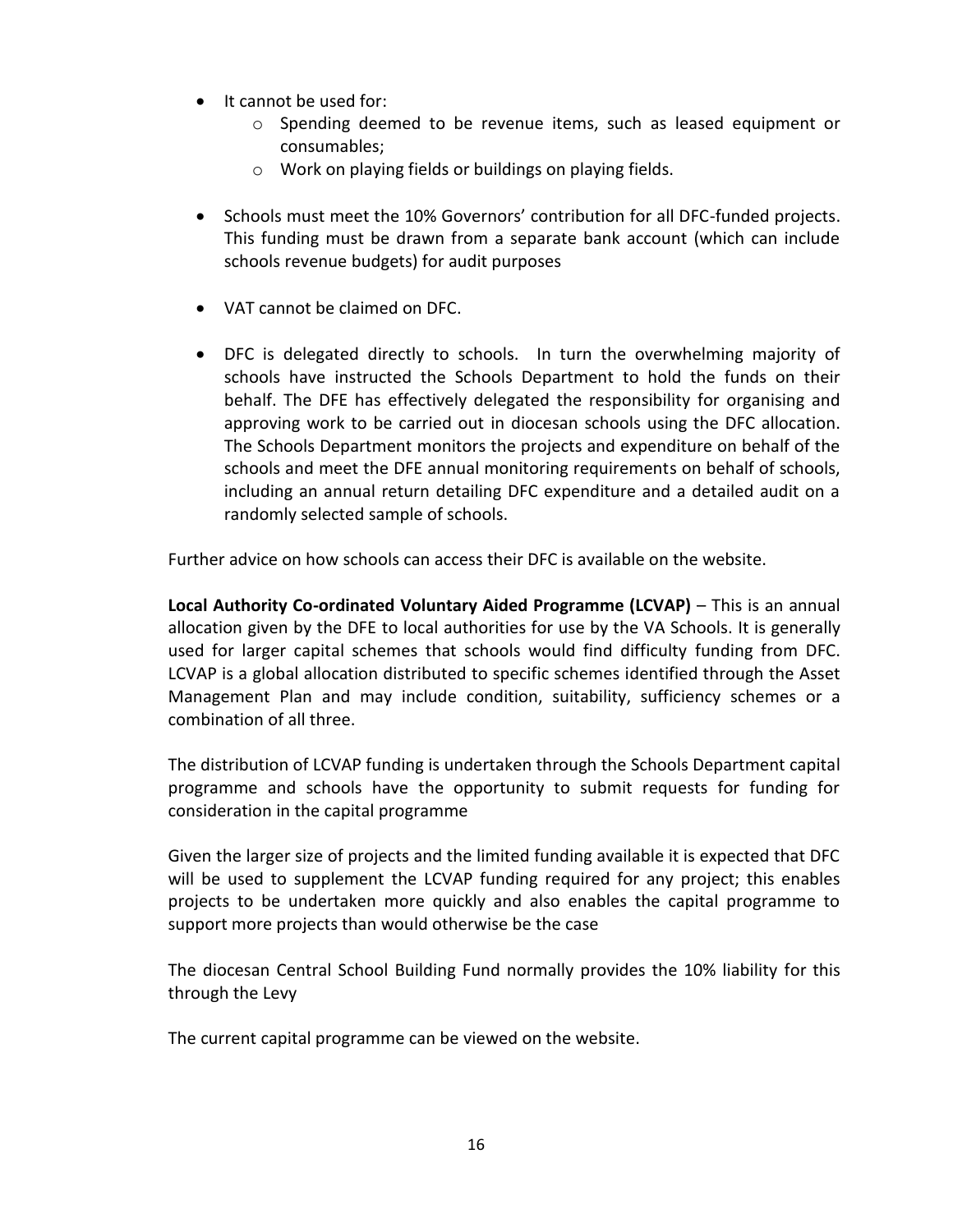- It cannot be used for:
	- o Spending deemed to be revenue items, such as leased equipment or consumables;
	- o Work on playing fields or buildings on playing fields.
- Schools must meet the 10% Governors' contribution for all DFC-funded projects. This funding must be drawn from a separate bank account (which can include schools revenue budgets) for audit purposes
- VAT cannot be claimed on DFC.
- DFC is delegated directly to schools. In turn the overwhelming majority of schools have instructed the Schools Department to hold the funds on their behalf. The DFE has effectively delegated the responsibility for organising and approving work to be carried out in diocesan schools using the DFC allocation. The Schools Department monitors the projects and expenditure on behalf of the schools and meet the DFE annual monitoring requirements on behalf of schools, including an annual return detailing DFC expenditure and a detailed audit on a randomly selected sample of schools.

Further advice on how schools can access their DFC is available on the website.

**Local Authority Co-ordinated Voluntary Aided Programme (LCVAP)** – This is an annual allocation given by the DFE to local authorities for use by the VA Schools. It is generally used for larger capital schemes that schools would find difficulty funding from DFC. LCVAP is a global allocation distributed to specific schemes identified through the Asset Management Plan and may include condition, suitability, sufficiency schemes or a combination of all three.

The distribution of LCVAP funding is undertaken through the Schools Department capital programme and schools have the opportunity to submit requests for funding for consideration in the capital programme

Given the larger size of projects and the limited funding available it is expected that DFC will be used to supplement the LCVAP funding required for any project; this enables projects to be undertaken more quickly and also enables the capital programme to support more projects than would otherwise be the case

The diocesan Central School Building Fund normally provides the 10% liability for this through the Levy

The current capital programme can be viewed on the website.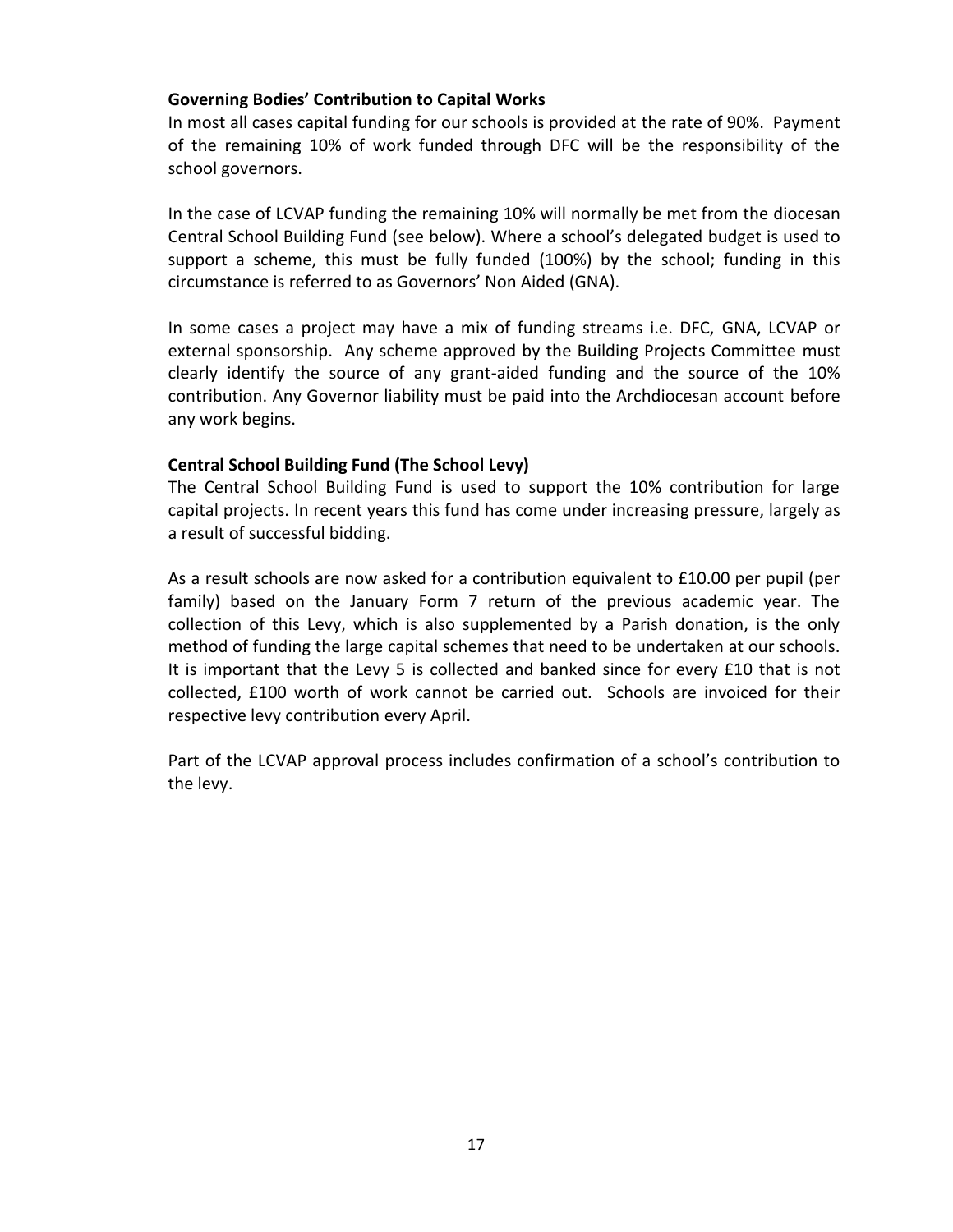## **Governing Bodies' Contribution to Capital Works**

In most all cases capital funding for our schools is provided at the rate of 90%. Payment of the remaining 10% of work funded through DFC will be the responsibility of the school governors.

In the case of LCVAP funding the remaining 10% will normally be met from the diocesan Central School Building Fund (see below). Where a school's delegated budget is used to support a scheme, this must be fully funded (100%) by the school; funding in this circumstance is referred to as Governors' Non Aided (GNA).

In some cases a project may have a mix of funding streams i.e. DFC, GNA, LCVAP or external sponsorship. Any scheme approved by the Building Projects Committee must clearly identify the source of any grant-aided funding and the source of the 10% contribution. Any Governor liability must be paid into the Archdiocesan account before any work begins.

## **Central School Building Fund (The School Levy)**

The Central School Building Fund is used to support the 10% contribution for large capital projects. In recent years this fund has come under increasing pressure, largely as a result of successful bidding.

As a result schools are now asked for a contribution equivalent to £10.00 per pupil (per family) based on the January Form 7 return of the previous academic year. The collection of this Levy, which is also supplemented by a Parish donation, is the only method of funding the large capital schemes that need to be undertaken at our schools. It is important that the Levy 5 is collected and banked since for every £10 that is not collected, £100 worth of work cannot be carried out. Schools are invoiced for their respective levy contribution every April.

Part of the LCVAP approval process includes confirmation of a school's contribution to the levy.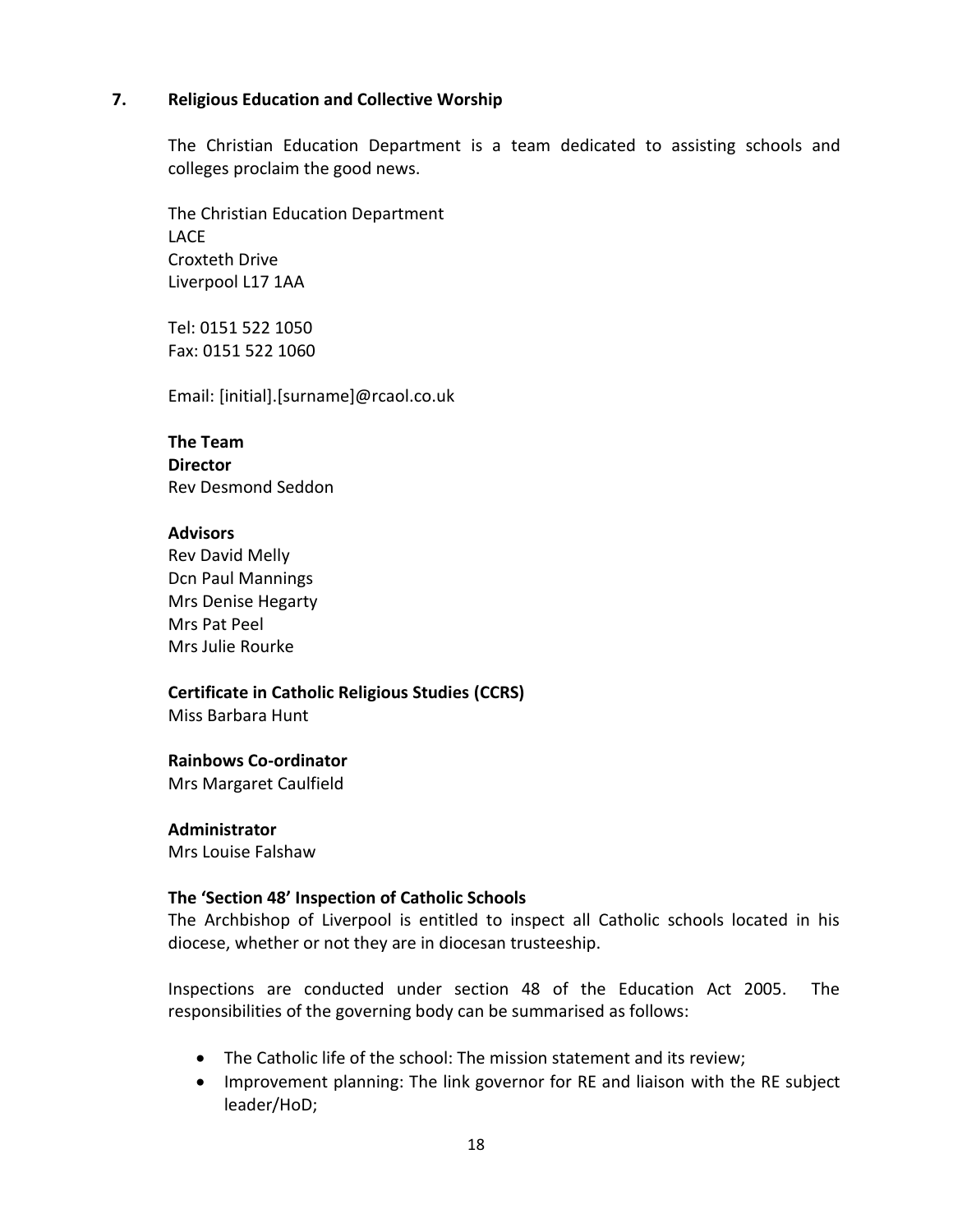#### **7. Religious Education and Collective Worship**

The Christian Education Department is a team dedicated to assisting schools and colleges proclaim the good news.

The Christian Education Department LACE Croxteth Drive Liverpool L17 1AA

Tel: 0151 522 1050 Fax: 0151 522 1060

Email: [initial].[surname]@rcaol.co.uk

**The Team Director** Rev Desmond Seddon

#### **Advisors**

Rev David Melly Dcn Paul Mannings Mrs Denise Hegarty Mrs Pat Peel Mrs Julie Rourke

**Certificate in Catholic Religious Studies (CCRS)** Miss Barbara Hunt

## **Rainbows Co-ordinator**

Mrs Margaret Caulfield

**Administrator** Mrs Louise Falshaw

#### **The 'Section 48' Inspection of Catholic Schools**

The Archbishop of Liverpool is entitled to inspect all Catholic schools located in his diocese, whether or not they are in diocesan trusteeship.

Inspections are conducted under section 48 of the Education Act 2005. The responsibilities of the governing body can be summarised as follows:

- The Catholic life of the school: The mission statement and its review;
- Improvement planning: The link governor for RE and liaison with the RE subject leader/HoD;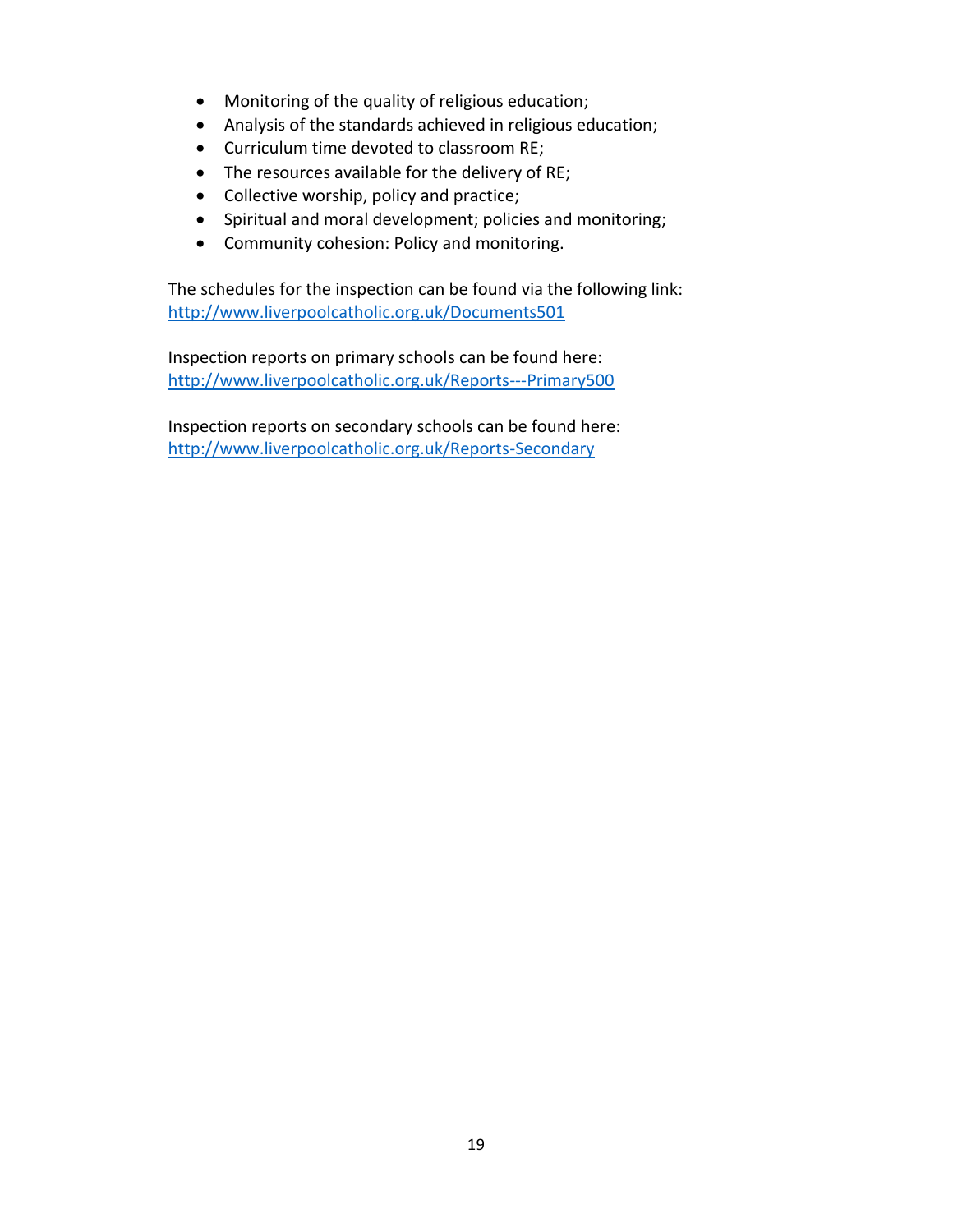- Monitoring of the quality of religious education;
- Analysis of the standards achieved in religious education;
- Curriculum time devoted to classroom RE;
- The resources available for the delivery of RE;
- Collective worship, policy and practice;
- Spiritual and moral development; policies and monitoring;
- Community cohesion: Policy and monitoring.

The schedules for the inspection can be found via the following link: <http://www.liverpoolcatholic.org.uk/Documents501>

Inspection reports on primary schools can be found here: <http://www.liverpoolcatholic.org.uk/Reports---Primary500>

Inspection reports on secondary schools can be found here: <http://www.liverpoolcatholic.org.uk/Reports-Secondary>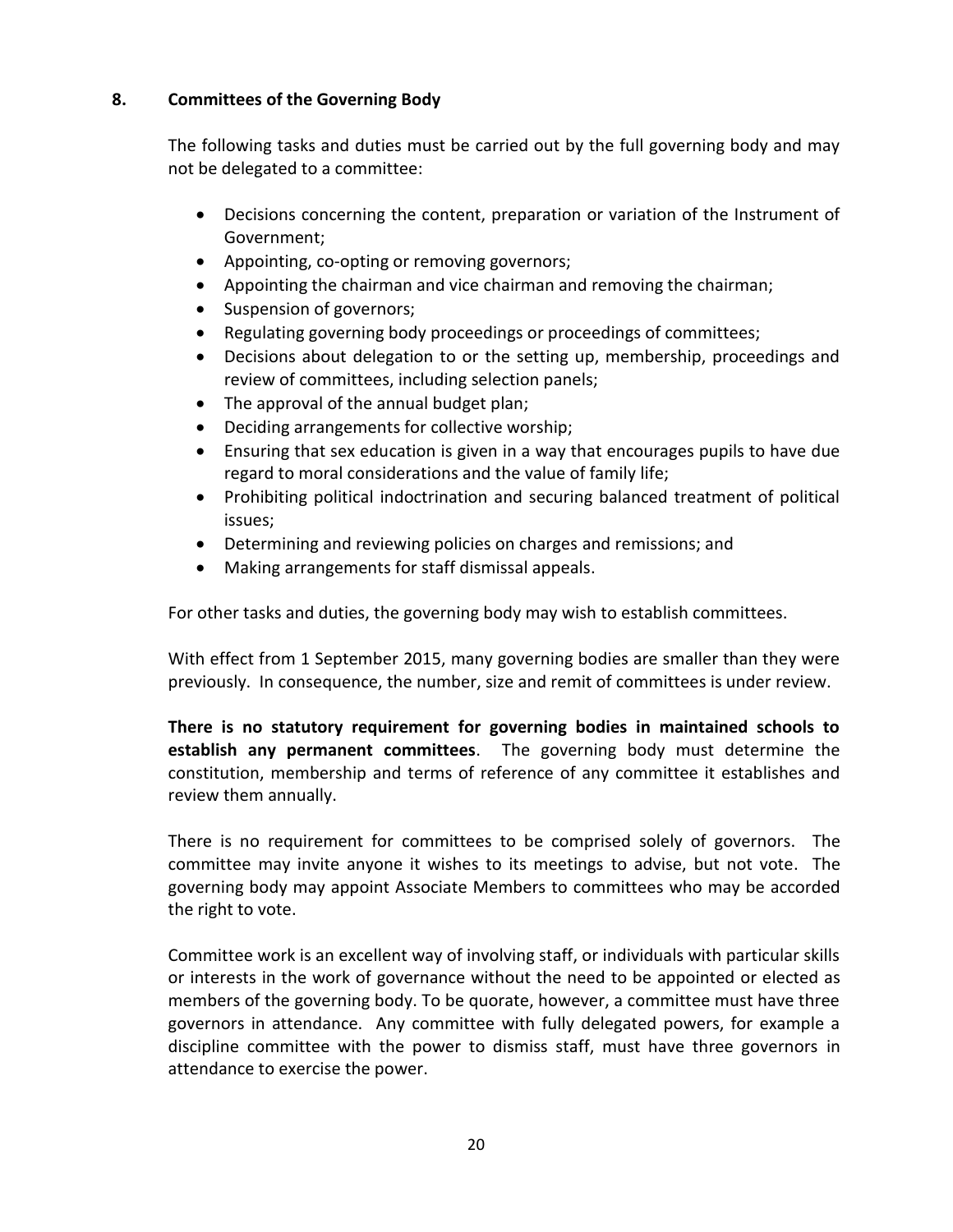## **8. Committees of the Governing Body**

The following tasks and duties must be carried out by the full governing body and may not be delegated to a committee:

- Decisions concerning the content, preparation or variation of the Instrument of Government;
- Appointing, co-opting or removing governors;
- Appointing the chairman and vice chairman and removing the chairman;
- Suspension of governors;
- Regulating governing body proceedings or proceedings of committees;
- Decisions about delegation to or the setting up, membership, proceedings and review of committees, including selection panels;
- The approval of the annual budget plan;
- Deciding arrangements for collective worship;
- Ensuring that sex education is given in a way that encourages pupils to have due regard to moral considerations and the value of family life;
- Prohibiting political indoctrination and securing balanced treatment of political issues;
- Determining and reviewing policies on charges and remissions; and
- Making arrangements for staff dismissal appeals.

For other tasks and duties, the governing body may wish to establish committees.

With effect from 1 September 2015, many governing bodies are smaller than they were previously. In consequence, the number, size and remit of committees is under review.

**There is no statutory requirement for governing bodies in maintained schools to establish any permanent committees**. The governing body must determine the constitution, membership and terms of reference of any committee it establishes and review them annually.

There is no requirement for committees to be comprised solely of governors. The committee may invite anyone it wishes to its meetings to advise, but not vote. The governing body may appoint Associate Members to committees who may be accorded the right to vote.

Committee work is an excellent way of involving staff, or individuals with particular skills or interests in the work of governance without the need to be appointed or elected as members of the governing body. To be quorate, however, a committee must have three governors in attendance. Any committee with fully delegated powers, for example a discipline committee with the power to dismiss staff, must have three governors in attendance to exercise the power.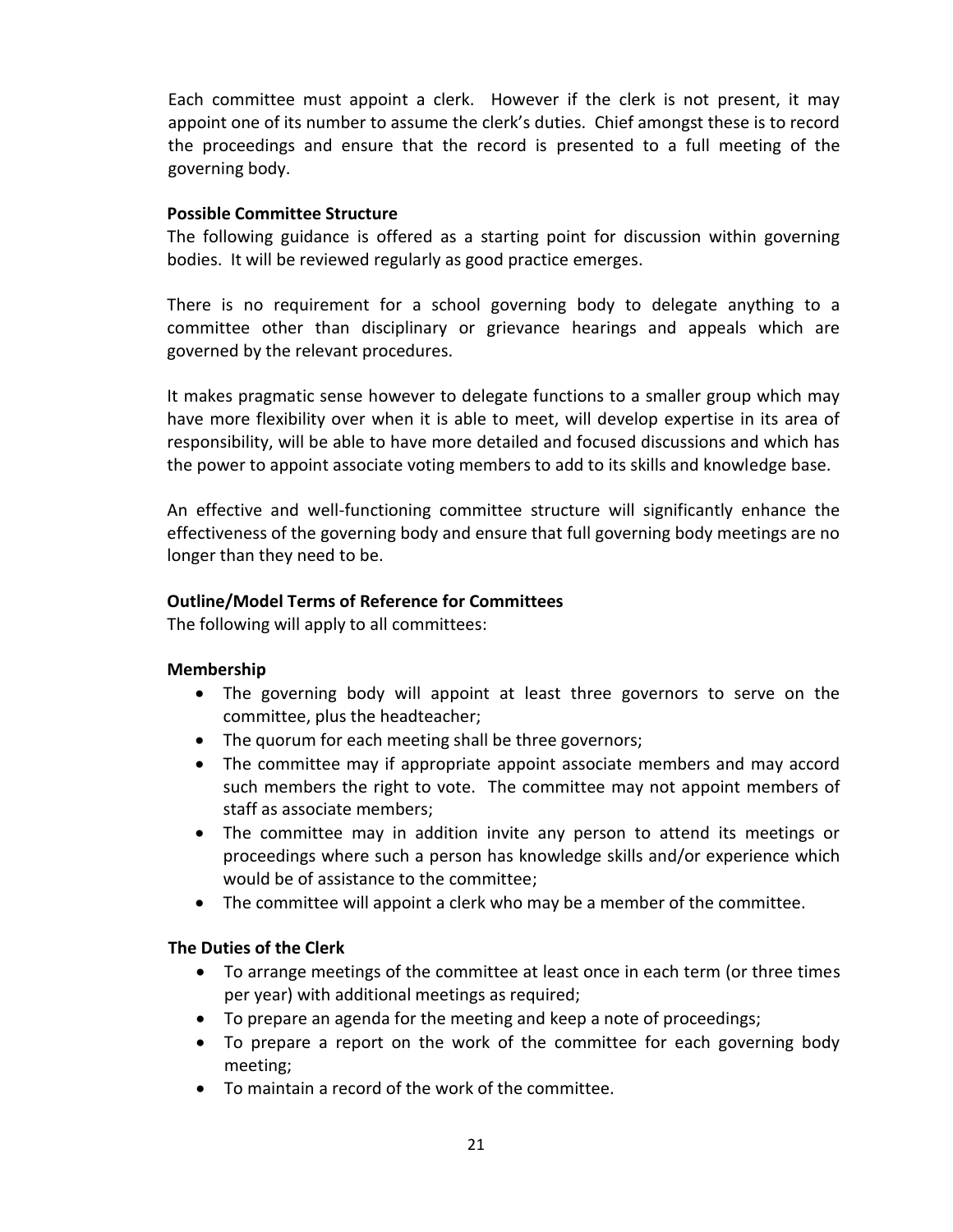Each committee must appoint a clerk. However if the clerk is not present, it may appoint one of its number to assume the clerk's duties. Chief amongst these is to record the proceedings and ensure that the record is presented to a full meeting of the governing body.

## **Possible Committee Structure**

The following guidance is offered as a starting point for discussion within governing bodies. It will be reviewed regularly as good practice emerges.

There is no requirement for a school governing body to delegate anything to a committee other than disciplinary or grievance hearings and appeals which are governed by the relevant procedures.

It makes pragmatic sense however to delegate functions to a smaller group which may have more flexibility over when it is able to meet, will develop expertise in its area of responsibility, will be able to have more detailed and focused discussions and which has the power to appoint associate voting members to add to its skills and knowledge base.

An effective and well-functioning committee structure will significantly enhance the effectiveness of the governing body and ensure that full governing body meetings are no longer than they need to be.

# **Outline/Model Terms of Reference for Committees**

The following will apply to all committees:

# **Membership**

- The governing body will appoint at least three governors to serve on the committee, plus the headteacher;
- The quorum for each meeting shall be three governors;
- The committee may if appropriate appoint associate members and may accord such members the right to vote. The committee may not appoint members of staff as associate members;
- The committee may in addition invite any person to attend its meetings or proceedings where such a person has knowledge skills and/or experience which would be of assistance to the committee;
- The committee will appoint a clerk who may be a member of the committee.

# **The Duties of the Clerk**

- To arrange meetings of the committee at least once in each term (or three times per year) with additional meetings as required;
- To prepare an agenda for the meeting and keep a note of proceedings;
- To prepare a report on the work of the committee for each governing body meeting;
- To maintain a record of the work of the committee.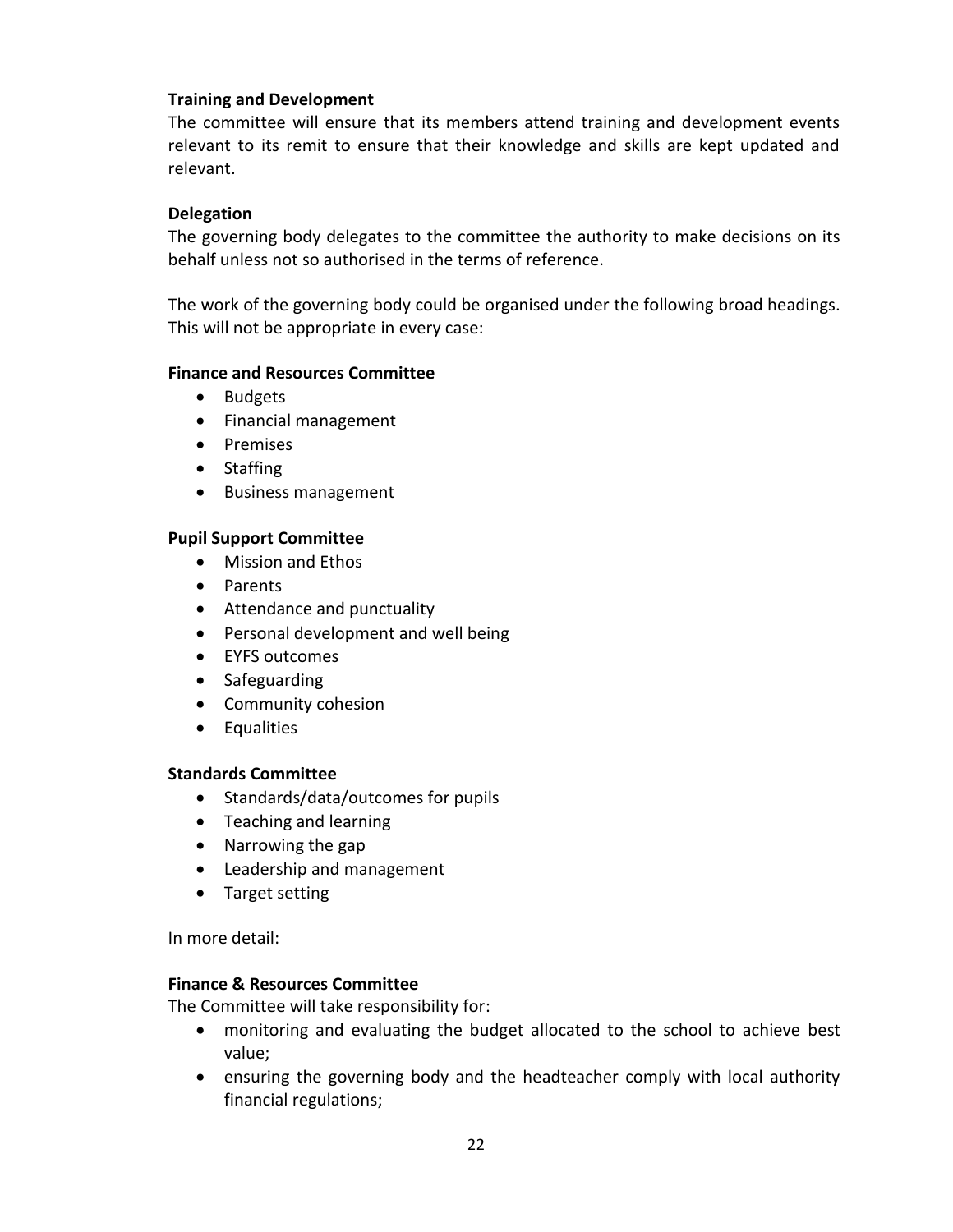## **Training and Development**

The committee will ensure that its members attend training and development events relevant to its remit to ensure that their knowledge and skills are kept updated and relevant.

## **Delegation**

The governing body delegates to the committee the authority to make decisions on its behalf unless not so authorised in the terms of reference.

The work of the governing body could be organised under the following broad headings. This will not be appropriate in every case:

#### **Finance and Resources Committee**

- Budgets
- Financial management
- Premises
- Staffing
- Business management

#### **Pupil Support Committee**

- Mission and Ethos
- Parents
- Attendance and punctuality
- Personal development and well being
- EYFS outcomes
- Safeguarding
- Community cohesion
- **•** Equalities

## **Standards Committee**

- Standards/data/outcomes for pupils
- Teaching and learning
- Narrowing the gap
- Leadership and management
- Target setting

In more detail:

## **Finance & Resources Committee**

The Committee will take responsibility for:

- monitoring and evaluating the budget allocated to the school to achieve best value;
- ensuring the governing body and the headteacher comply with local authority financial regulations;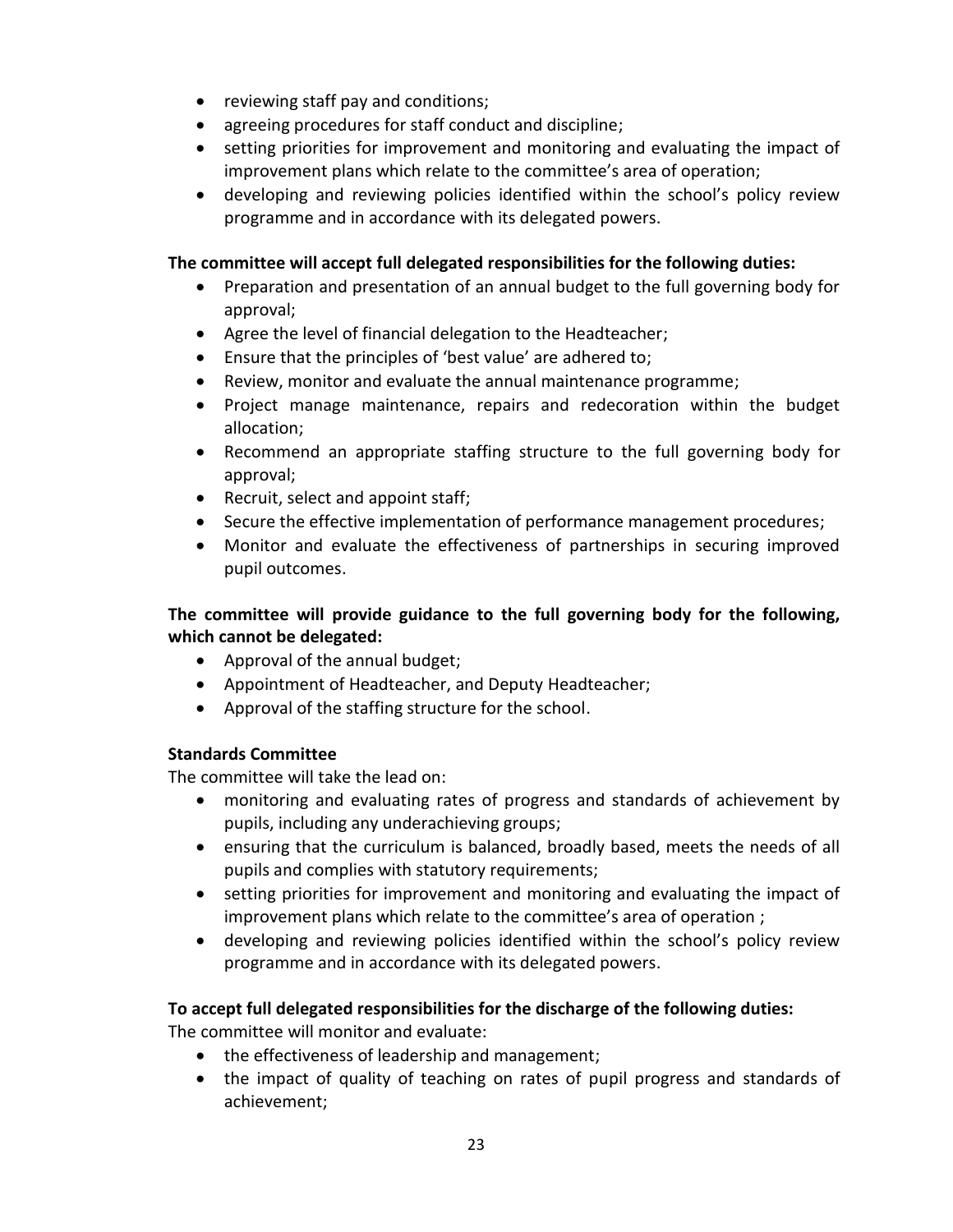- reviewing staff pay and conditions;
- agreeing procedures for staff conduct and discipline;
- setting priorities for improvement and monitoring and evaluating the impact of improvement plans which relate to the committee's area of operation;
- developing and reviewing policies identified within the school's policy review programme and in accordance with its delegated powers.

# **The committee will accept full delegated responsibilities for the following duties:**

- Preparation and presentation of an annual budget to the full governing body for approval;
- Agree the level of financial delegation to the Headteacher;
- Ensure that the principles of 'best value' are adhered to;
- Review, monitor and evaluate the annual maintenance programme;
- Project manage maintenance, repairs and redecoration within the budget allocation;
- Recommend an appropriate staffing structure to the full governing body for approval;
- Recruit, select and appoint staff;
- Secure the effective implementation of performance management procedures;
- Monitor and evaluate the effectiveness of partnerships in securing improved pupil outcomes.

# **The committee will provide guidance to the full governing body for the following, which cannot be delegated:**

- Approval of the annual budget;
- Appointment of Headteacher, and Deputy Headteacher;
- Approval of the staffing structure for the school.

# **Standards Committee**

The committee will take the lead on:

- monitoring and evaluating rates of progress and standards of achievement by pupils, including any underachieving groups;
- ensuring that the curriculum is balanced, broadly based, meets the needs of all pupils and complies with statutory requirements;
- setting priorities for improvement and monitoring and evaluating the impact of improvement plans which relate to the committee's area of operation ;
- developing and reviewing policies identified within the school's policy review programme and in accordance with its delegated powers.

# **To accept full delegated responsibilities for the discharge of the following duties:**

The committee will monitor and evaluate:

- the effectiveness of leadership and management;
- the impact of quality of teaching on rates of pupil progress and standards of achievement;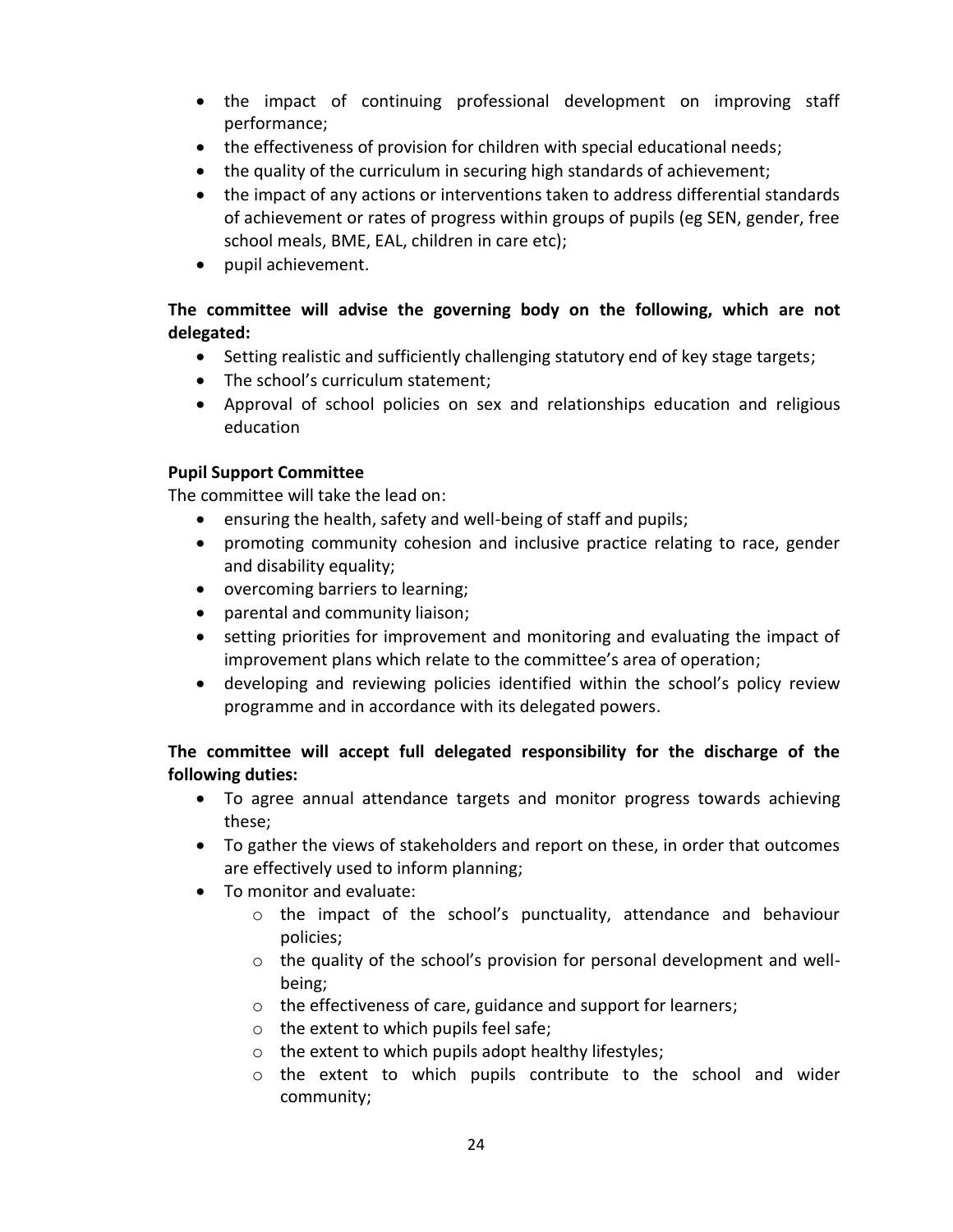- the impact of continuing professional development on improving staff performance;
- the effectiveness of provision for children with special educational needs;
- the quality of the curriculum in securing high standards of achievement;
- the impact of any actions or interventions taken to address differential standards of achievement or rates of progress within groups of pupils (eg SEN, gender, free school meals, BME, EAL, children in care etc);
- pupil achievement.

# **The committee will advise the governing body on the following, which are not delegated:**

- Setting realistic and sufficiently challenging statutory end of key stage targets;
- The school's curriculum statement;
- Approval of school policies on sex and relationships education and religious education

# **Pupil Support Committee**

The committee will take the lead on:

- ensuring the health, safety and well-being of staff and pupils;
- promoting community cohesion and inclusive practice relating to race, gender and disability equality;
- overcoming barriers to learning;
- parental and community liaison;
- setting priorities for improvement and monitoring and evaluating the impact of improvement plans which relate to the committee's area of operation;
- developing and reviewing policies identified within the school's policy review programme and in accordance with its delegated powers.

# **The committee will accept full delegated responsibility for the discharge of the following duties:**

- To agree annual attendance targets and monitor progress towards achieving these;
- To gather the views of stakeholders and report on these, in order that outcomes are effectively used to inform planning;
- To monitor and evaluate:
	- o the impact of the school's punctuality, attendance and behaviour policies;
	- $\circ$  the quality of the school's provision for personal development and wellbeing;
	- o the effectiveness of care, guidance and support for learners;
	- o the extent to which pupils feel safe;
	- o the extent to which pupils adopt healthy lifestyles;
	- o the extent to which pupils contribute to the school and wider community;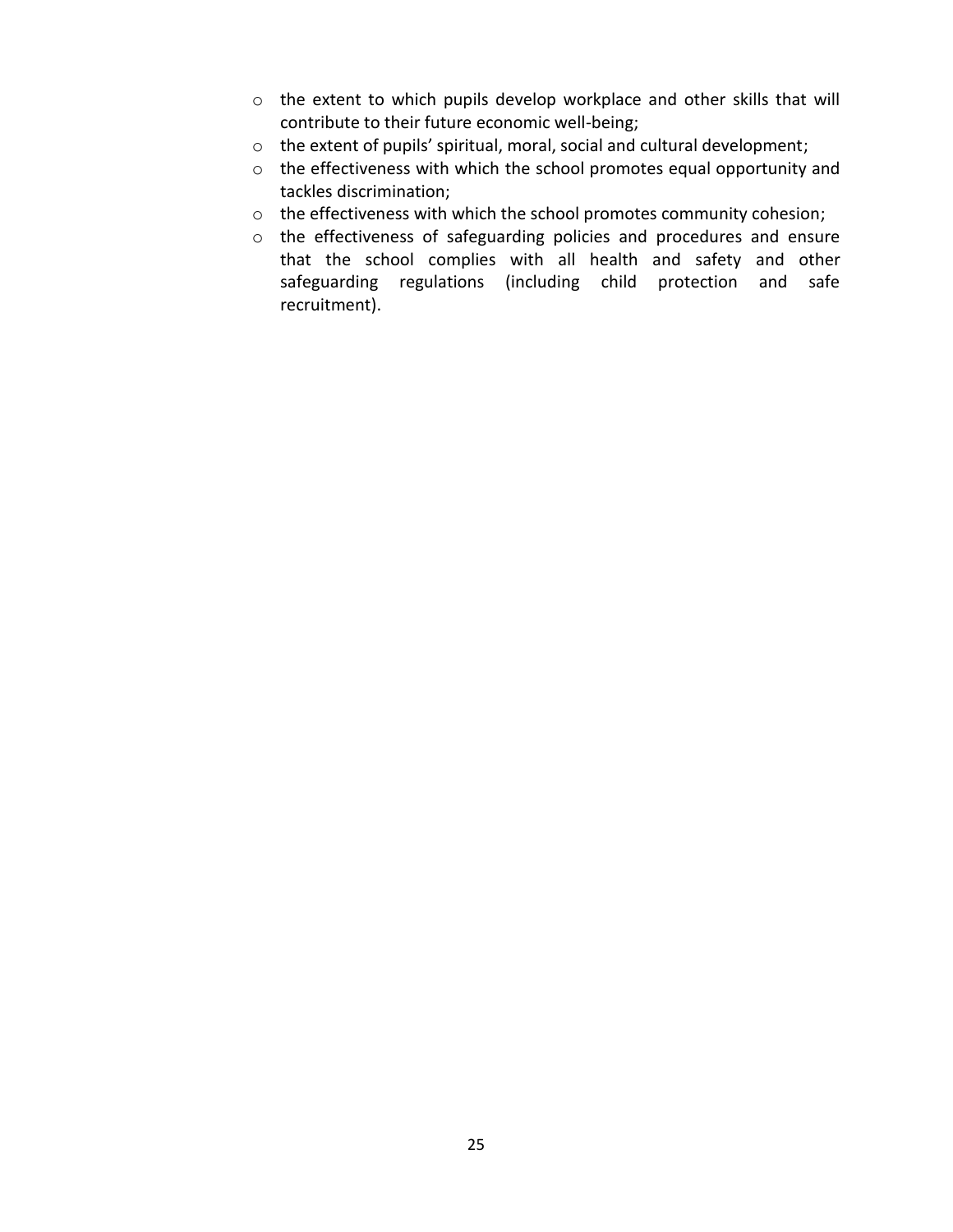- o the extent to which pupils develop workplace and other skills that will contribute to their future economic well-being;
- o the extent of pupils' spiritual, moral, social and cultural development;
- o the effectiveness with which the school promotes equal opportunity and tackles discrimination;
- o the effectiveness with which the school promotes community cohesion;
- o the effectiveness of safeguarding policies and procedures and ensure that the school complies with all health and safety and other safeguarding regulations (including child protection and safe recruitment).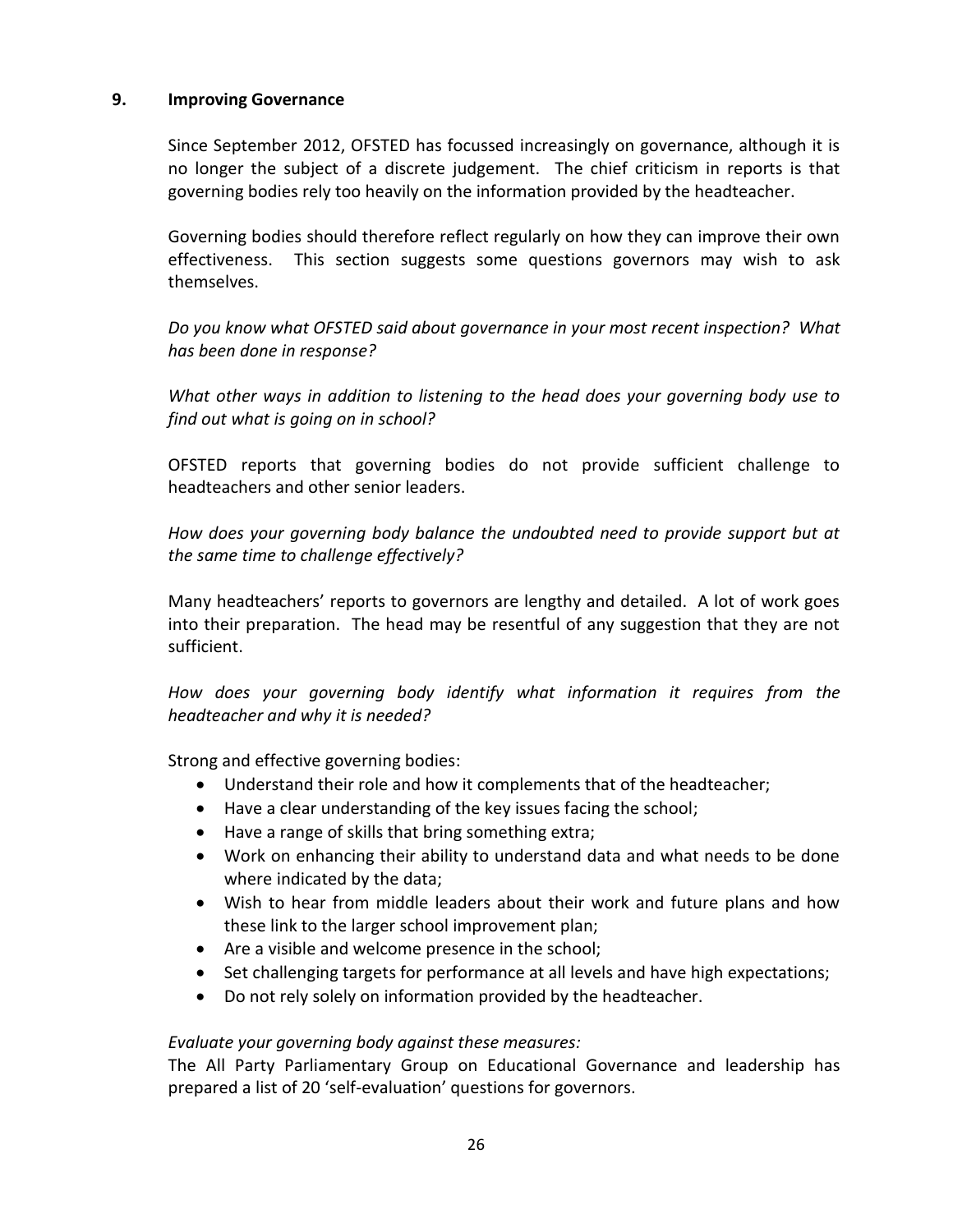## **9. Improving Governance**

Since September 2012, OFSTED has focussed increasingly on governance, although it is no longer the subject of a discrete judgement. The chief criticism in reports is that governing bodies rely too heavily on the information provided by the headteacher.

Governing bodies should therefore reflect regularly on how they can improve their own effectiveness. This section suggests some questions governors may wish to ask themselves.

*Do you know what OFSTED said about governance in your most recent inspection? What has been done in response?*

*What other ways in addition to listening to the head does your governing body use to find out what is going on in school?*

OFSTED reports that governing bodies do not provide sufficient challenge to headteachers and other senior leaders.

*How does your governing body balance the undoubted need to provide support but at the same time to challenge effectively?*

Many headteachers' reports to governors are lengthy and detailed. A lot of work goes into their preparation. The head may be resentful of any suggestion that they are not sufficient.

*How does your governing body identify what information it requires from the headteacher and why it is needed?*

Strong and effective governing bodies:

- Understand their role and how it complements that of the headteacher;
- Have a clear understanding of the key issues facing the school;
- Have a range of skills that bring something extra;
- Work on enhancing their ability to understand data and what needs to be done where indicated by the data;
- Wish to hear from middle leaders about their work and future plans and how these link to the larger school improvement plan;
- Are a visible and welcome presence in the school;
- Set challenging targets for performance at all levels and have high expectations;
- Do not rely solely on information provided by the headteacher.

## *Evaluate your governing body against these measures:*

The All Party Parliamentary Group on Educational Governance and leadership has prepared a list of 20 'self-evaluation' questions for governors.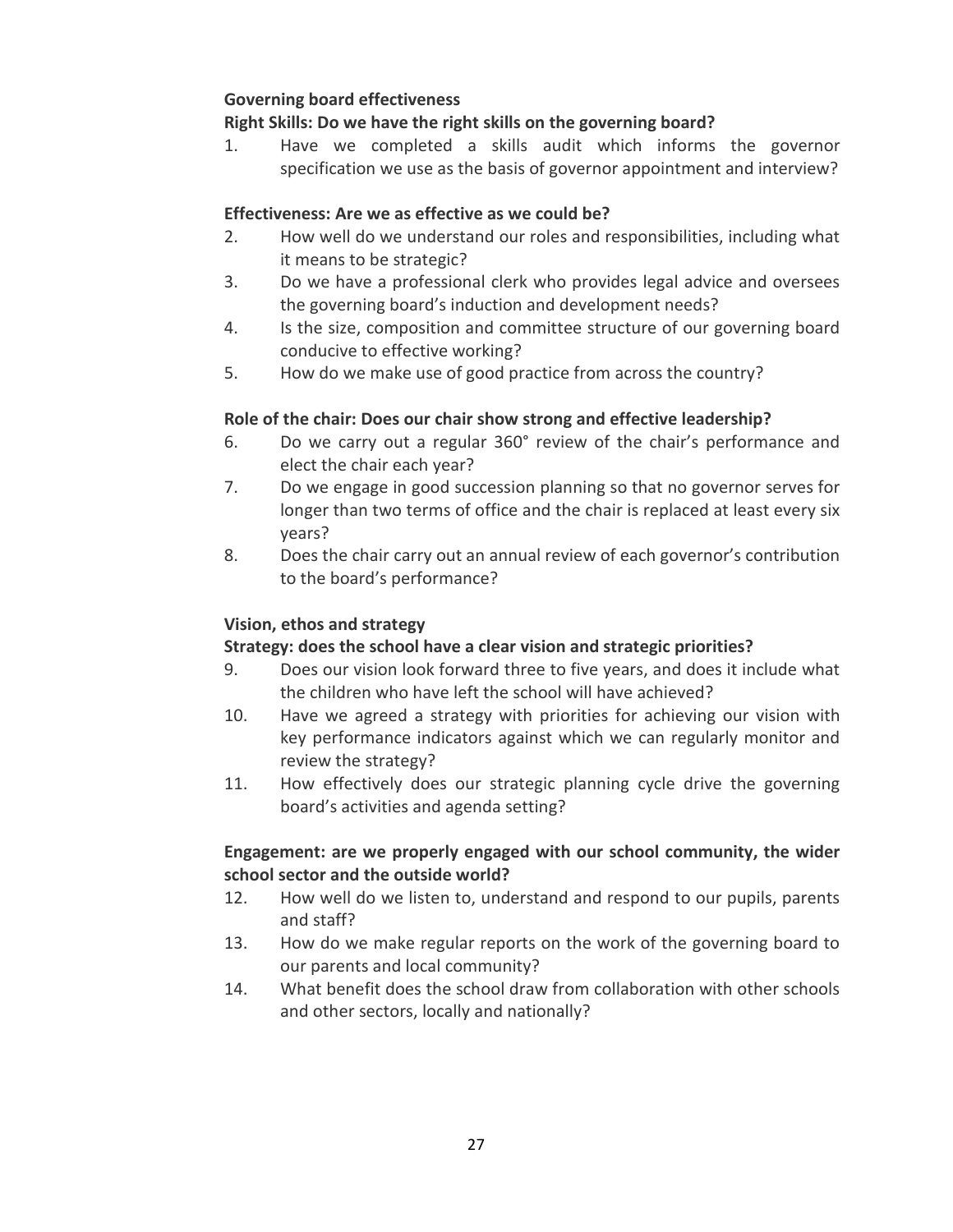# **Governing board effectiveness**

# **Right Skills: Do we have the right skills on the governing board?**

1. Have we completed a skills audit which informs the governor specification we use as the basis of governor appointment and interview?

# **Effectiveness: Are we as effective as we could be?**

- 2. How well do we understand our roles and responsibilities, including what it means to be strategic?
- 3. Do we have a professional clerk who provides legal advice and oversees the governing board's induction and development needs?
- 4. Is the size, composition and committee structure of our governing board conducive to effective working?
- 5. How do we make use of good practice from across the country?

# **Role of the chair: Does our chair show strong and effective leadership?**

- 6. Do we carry out a regular 360° review of the chair's performance and elect the chair each year?
- 7. Do we engage in good succession planning so that no governor serves for longer than two terms of office and the chair is replaced at least every six years?
- 8. Does the chair carry out an annual review of each governor's contribution to the board's performance?

# **Vision, ethos and strategy**

# **Strategy: does the school have a clear vision and strategic priorities?**

- 9. Does our vision look forward three to five years, and does it include what the children who have left the school will have achieved?
- 10. Have we agreed a strategy with priorities for achieving our vision with key performance indicators against which we can regularly monitor and review the strategy?
- 11. How effectively does our strategic planning cycle drive the governing board's activities and agenda setting?

# **Engagement: are we properly engaged with our school community, the wider school sector and the outside world?**

- 12. How well do we listen to, understand and respond to our pupils, parents and staff?
- 13. How do we make regular reports on the work of the governing board to our parents and local community?
- 14. What benefit does the school draw from collaboration with other schools and other sectors, locally and nationally?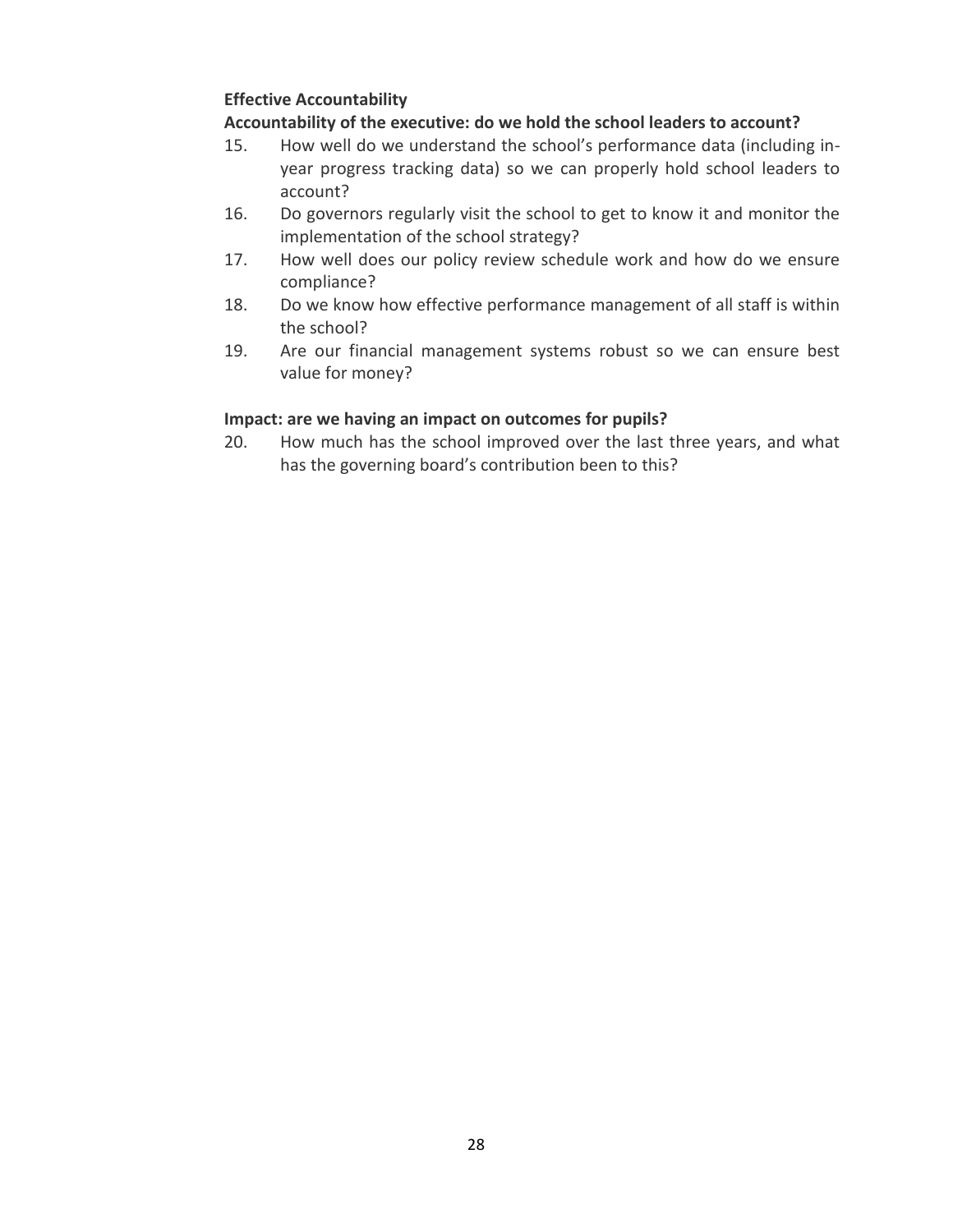# **Effective Accountability**

# **Accountability of the executive: do we hold the school leaders to account?**

- 15. How well do we understand the school's performance data (including inyear progress tracking data) so we can properly hold school leaders to account?
- 16. Do governors regularly visit the school to get to know it and monitor the implementation of the school strategy?
- 17. How well does our policy review schedule work and how do we ensure compliance?
- 18. Do we know how effective performance management of all staff is within the school?
- 19. Are our financial management systems robust so we can ensure best value for money?

# **Impact: are we having an impact on outcomes for pupils?**

20. How much has the school improved over the last three years, and what has the governing board's contribution been to this?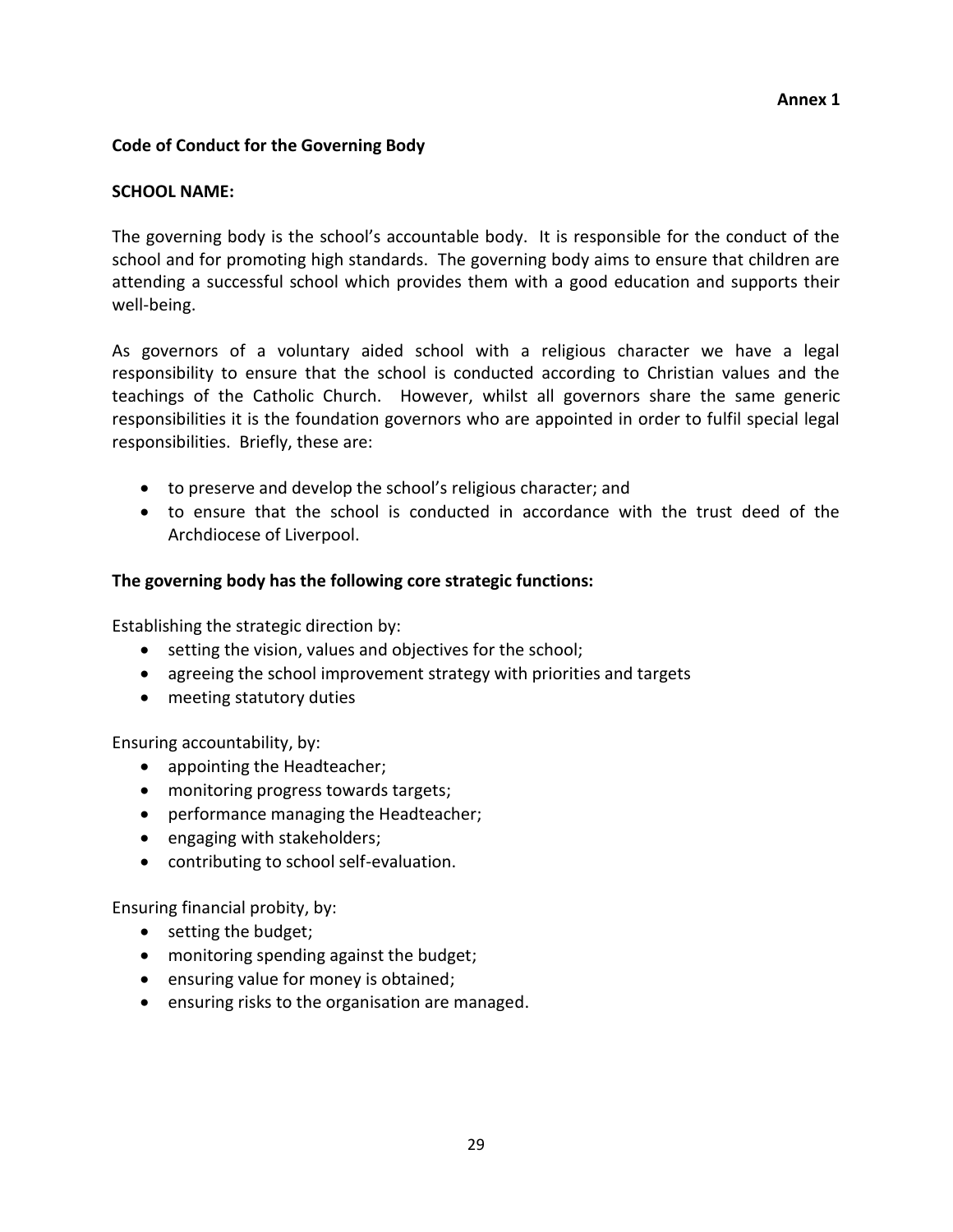## **Code of Conduct for the Governing Body**

#### **SCHOOL NAME:**

The governing body is the school's accountable body. It is responsible for the conduct of the school and for promoting high standards. The governing body aims to ensure that children are attending a successful school which provides them with a good education and supports their well-being.

As governors of a voluntary aided school with a religious character we have a legal responsibility to ensure that the school is conducted according to Christian values and the teachings of the Catholic Church. However, whilst all governors share the same generic responsibilities it is the foundation governors who are appointed in order to fulfil special legal responsibilities. Briefly, these are:

- to preserve and develop the school's religious character; and
- to ensure that the school is conducted in accordance with the trust deed of the Archdiocese of Liverpool.

#### **The governing body has the following core strategic functions:**

Establishing the strategic direction by:

- setting the vision, values and objectives for the school;
- agreeing the school improvement strategy with priorities and targets
- meeting statutory duties

Ensuring accountability, by:

- appointing the Headteacher;
- monitoring progress towards targets;
- performance managing the Headteacher;
- engaging with stakeholders;
- contributing to school self-evaluation.

Ensuring financial probity, by:

- setting the budget;
- monitoring spending against the budget;
- ensuring value for money is obtained;
- ensuring risks to the organisation are managed.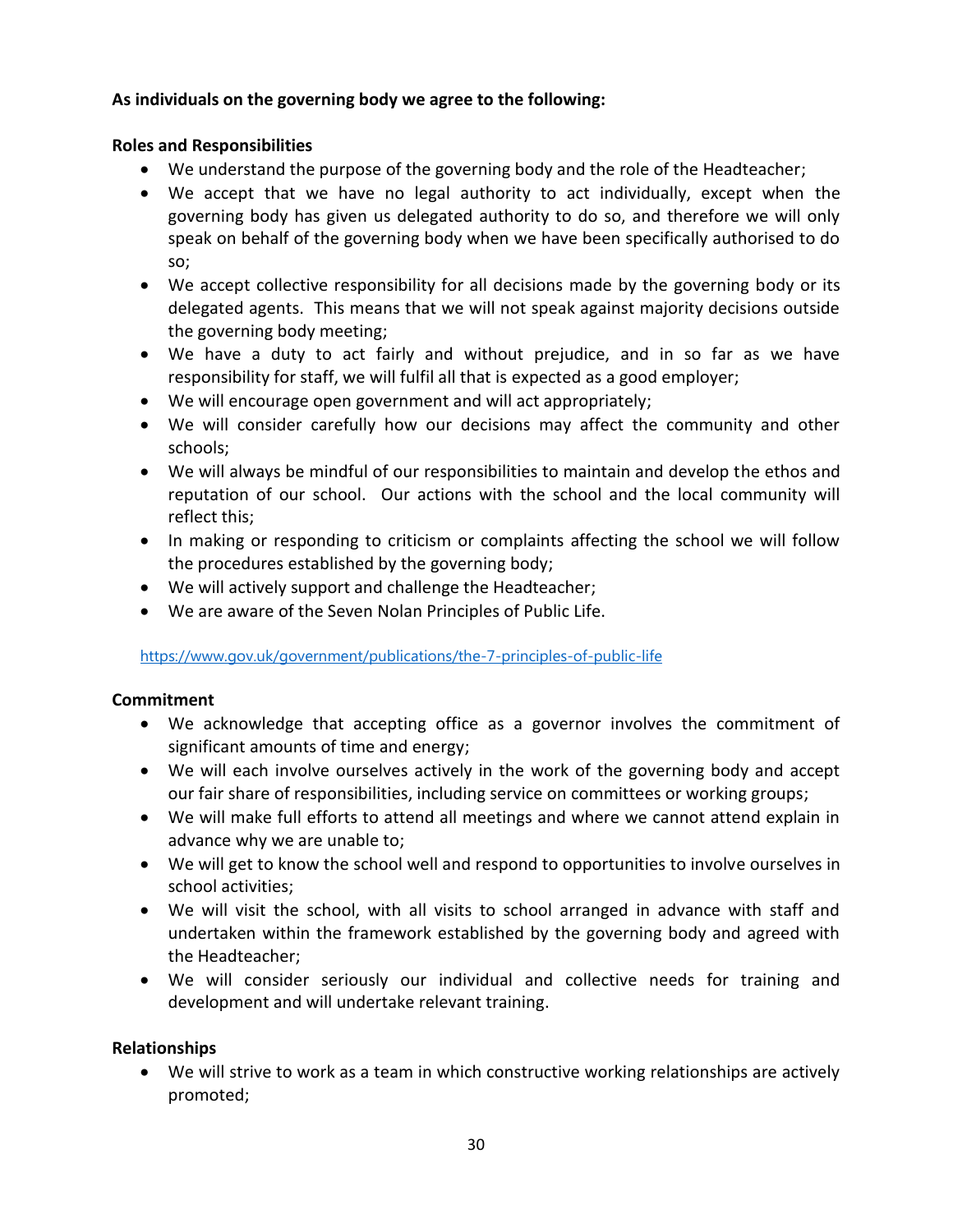## **As individuals on the governing body we agree to the following:**

## **Roles and Responsibilities**

- We understand the purpose of the governing body and the role of the Headteacher;
- We accept that we have no legal authority to act individually, except when the governing body has given us delegated authority to do so, and therefore we will only speak on behalf of the governing body when we have been specifically authorised to do so;
- We accept collective responsibility for all decisions made by the governing body or its delegated agents. This means that we will not speak against majority decisions outside the governing body meeting;
- We have a duty to act fairly and without prejudice, and in so far as we have responsibility for staff, we will fulfil all that is expected as a good employer;
- We will encourage open government and will act appropriately;
- We will consider carefully how our decisions may affect the community and other schools;
- We will always be mindful of our responsibilities to maintain and develop the ethos and reputation of our school. Our actions with the school and the local community will reflect this;
- In making or responding to criticism or complaints affecting the school we will follow the procedures established by the governing body;
- We will actively support and challenge the Headteacher;
- We are aware of the Seven Nolan Principles of Public Life.

## <https://www.gov.uk/government/publications/the-7-principles-of-public-life>

## **Commitment**

- We acknowledge that accepting office as a governor involves the commitment of significant amounts of time and energy;
- We will each involve ourselves actively in the work of the governing body and accept our fair share of responsibilities, including service on committees or working groups;
- We will make full efforts to attend all meetings and where we cannot attend explain in advance why we are unable to;
- We will get to know the school well and respond to opportunities to involve ourselves in school activities;
- We will visit the school, with all visits to school arranged in advance with staff and undertaken within the framework established by the governing body and agreed with the Headteacher;
- We will consider seriously our individual and collective needs for training and development and will undertake relevant training.

## **Relationships**

 We will strive to work as a team in which constructive working relationships are actively promoted;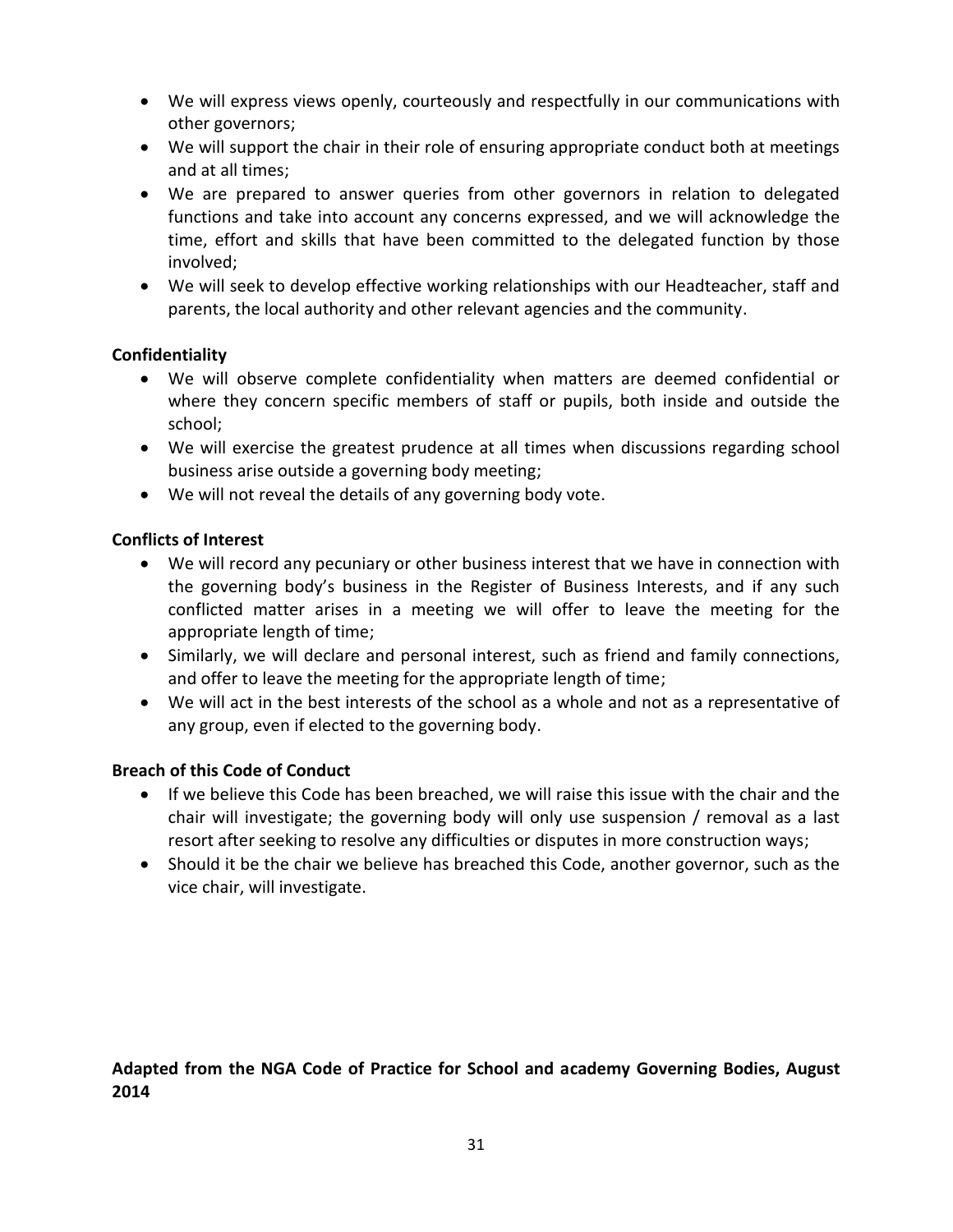- We will express views openly, courteously and respectfully in our communications with other governors;
- We will support the chair in their role of ensuring appropriate conduct both at meetings and at all times;
- We are prepared to answer queries from other governors in relation to delegated functions and take into account any concerns expressed, and we will acknowledge the time, effort and skills that have been committed to the delegated function by those involved;
- We will seek to develop effective working relationships with our Headteacher, staff and parents, the local authority and other relevant agencies and the community.

# **Confidentiality**

- We will observe complete confidentiality when matters are deemed confidential or where they concern specific members of staff or pupils, both inside and outside the school;
- We will exercise the greatest prudence at all times when discussions regarding school business arise outside a governing body meeting;
- We will not reveal the details of any governing body vote.

# **Conflicts of Interest**

- We will record any pecuniary or other business interest that we have in connection with the governing body's business in the Register of Business Interests, and if any such conflicted matter arises in a meeting we will offer to leave the meeting for the appropriate length of time;
- Similarly, we will declare and personal interest, such as friend and family connections, and offer to leave the meeting for the appropriate length of time;
- We will act in the best interests of the school as a whole and not as a representative of any group, even if elected to the governing body.

# **Breach of this Code of Conduct**

- If we believe this Code has been breached, we will raise this issue with the chair and the chair will investigate; the governing body will only use suspension / removal as a last resort after seeking to resolve any difficulties or disputes in more construction ways;
- Should it be the chair we believe has breached this Code, another governor, such as the vice chair, will investigate.

# **Adapted from the NGA Code of Practice for School and academy Governing Bodies, August 2014**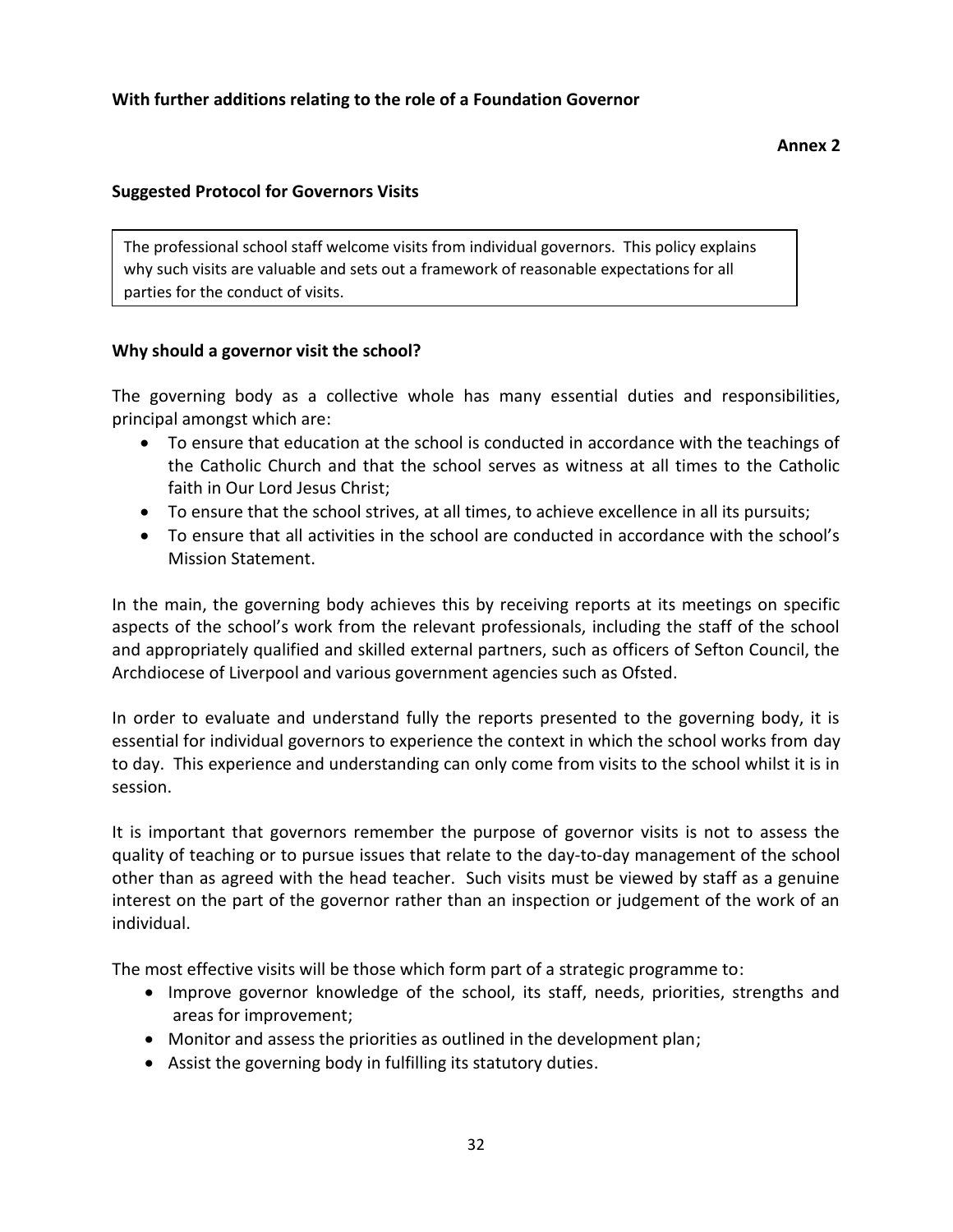The professional school staff welcome visits from individual governors. This policy explains why such visits are valuable and sets out a framework of reasonable expectations for all parties for the conduct of visits.

# **Why should a governor visit the school?**

The governing body as a collective whole has many essential duties and responsibilities, principal amongst which are:

- To ensure that education at the school is conducted in accordance with the teachings of the Catholic Church and that the school serves as witness at all times to the Catholic faith in Our Lord Jesus Christ;
- To ensure that the school strives, at all times, to achieve excellence in all its pursuits;
- To ensure that all activities in the school are conducted in accordance with the school's Mission Statement.

In the main, the governing body achieves this by receiving reports at its meetings on specific aspects of the school's work from the relevant professionals, including the staff of the school and appropriately qualified and skilled external partners, such as officers of Sefton Council, the Archdiocese of Liverpool and various government agencies such as Ofsted.

In order to evaluate and understand fully the reports presented to the governing body, it is essential for individual governors to experience the context in which the school works from day to day. This experience and understanding can only come from visits to the school whilst it is in session.

It is important that governors remember the purpose of governor visits is not to assess the quality of teaching or to pursue issues that relate to the day-to-day management of the school other than as agreed with the head teacher. Such visits must be viewed by staff as a genuine interest on the part of the governor rather than an inspection or judgement of the work of an individual.

The most effective visits will be those which form part of a strategic programme to:

- Improve governor knowledge of the school, its staff, needs, priorities, strengths and areas for improvement;
- Monitor and assess the priorities as outlined in the development plan;
- Assist the governing body in fulfilling its statutory duties.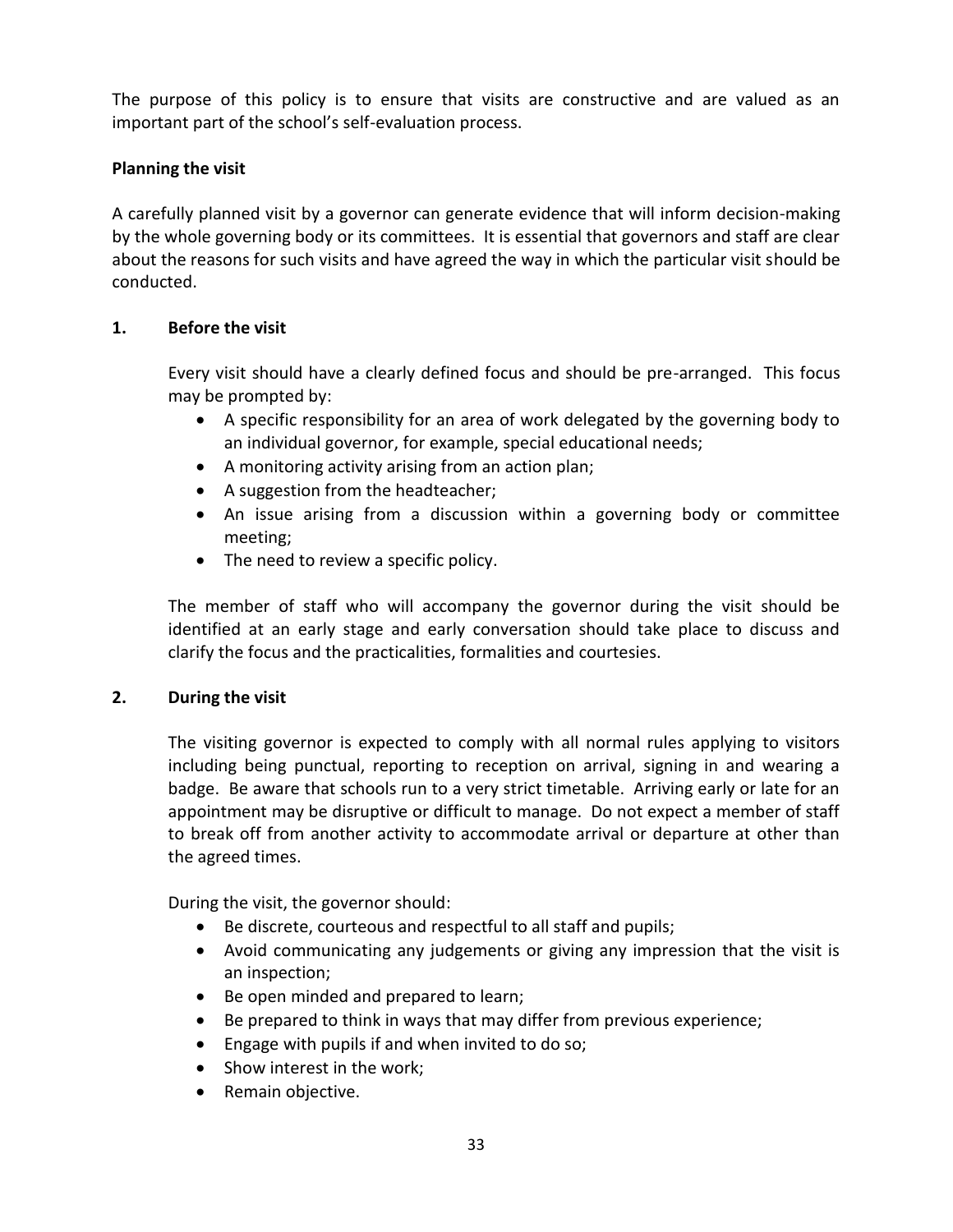The purpose of this policy is to ensure that visits are constructive and are valued as an important part of the school's self-evaluation process.

## **Planning the visit**

A carefully planned visit by a governor can generate evidence that will inform decision-making by the whole governing body or its committees. It is essential that governors and staff are clear about the reasons for such visits and have agreed the way in which the particular visit should be conducted.

## **1. Before the visit**

Every visit should have a clearly defined focus and should be pre-arranged. This focus may be prompted by:

- A specific responsibility for an area of work delegated by the governing body to an individual governor, for example, special educational needs;
- A monitoring activity arising from an action plan;
- A suggestion from the headteacher;
- An issue arising from a discussion within a governing body or committee meeting;
- The need to review a specific policy.

The member of staff who will accompany the governor during the visit should be identified at an early stage and early conversation should take place to discuss and clarify the focus and the practicalities, formalities and courtesies.

## **2. During the visit**

The visiting governor is expected to comply with all normal rules applying to visitors including being punctual, reporting to reception on arrival, signing in and wearing a badge. Be aware that schools run to a very strict timetable. Arriving early or late for an appointment may be disruptive or difficult to manage. Do not expect a member of staff to break off from another activity to accommodate arrival or departure at other than the agreed times.

During the visit, the governor should:

- Be discrete, courteous and respectful to all staff and pupils;
- Avoid communicating any judgements or giving any impression that the visit is an inspection;
- Be open minded and prepared to learn;
- Be prepared to think in ways that may differ from previous experience;
- Engage with pupils if and when invited to do so;
- Show interest in the work;
- Remain objective.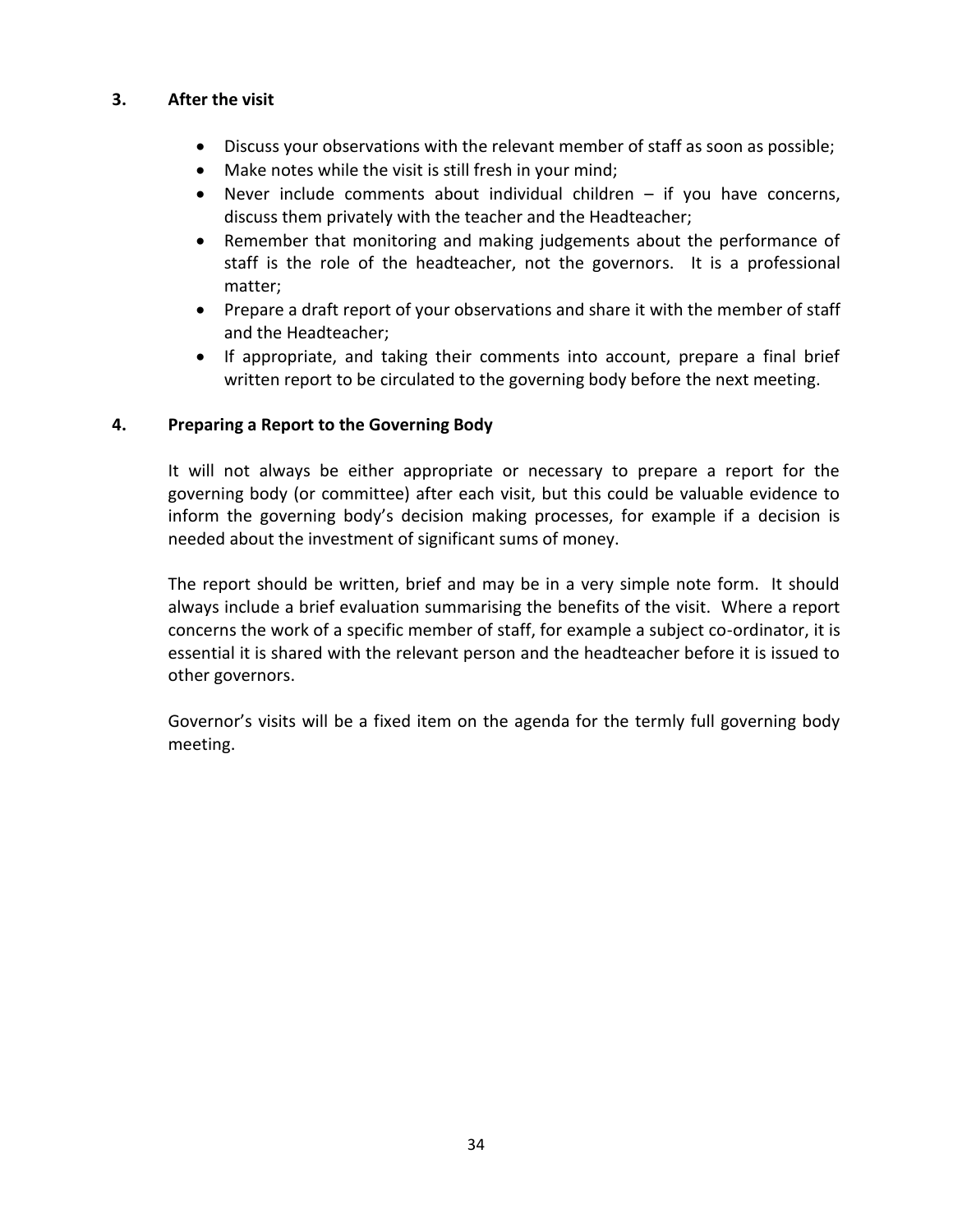## **3. After the visit**

- Discuss your observations with the relevant member of staff as soon as possible;
- Make notes while the visit is still fresh in your mind;
- Never include comments about individual children if you have concerns, discuss them privately with the teacher and the Headteacher;
- Remember that monitoring and making judgements about the performance of staff is the role of the headteacher, not the governors. It is a professional matter;
- Prepare a draft report of your observations and share it with the member of staff and the Headteacher;
- If appropriate, and taking their comments into account, prepare a final brief written report to be circulated to the governing body before the next meeting.

## **4. Preparing a Report to the Governing Body**

It will not always be either appropriate or necessary to prepare a report for the governing body (or committee) after each visit, but this could be valuable evidence to inform the governing body's decision making processes, for example if a decision is needed about the investment of significant sums of money.

The report should be written, brief and may be in a very simple note form. It should always include a brief evaluation summarising the benefits of the visit. Where a report concerns the work of a specific member of staff, for example a subject co-ordinator, it is essential it is shared with the relevant person and the headteacher before it is issued to other governors.

Governor's visits will be a fixed item on the agenda for the termly full governing body meeting.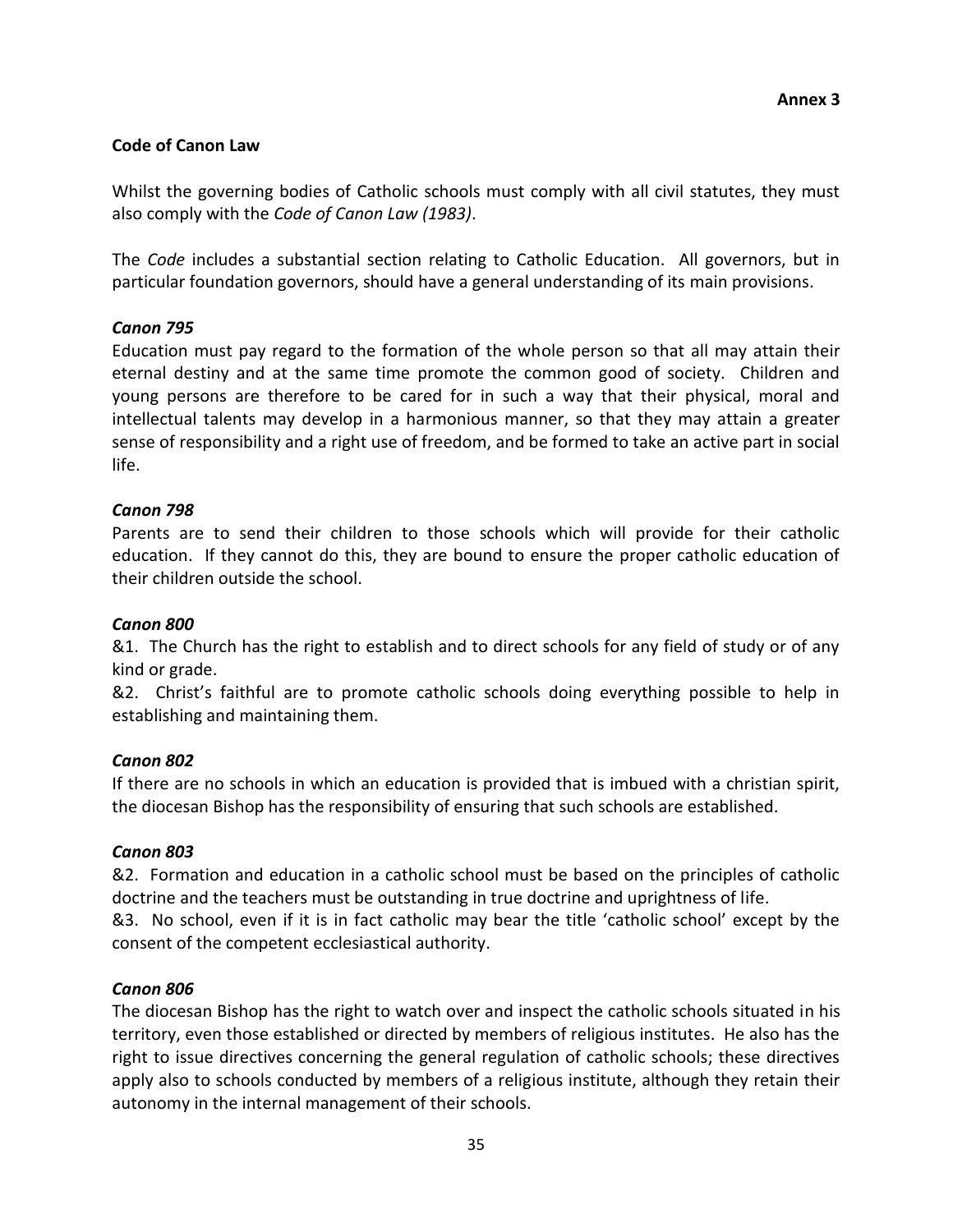## **Code of Canon Law**

Whilst the governing bodies of Catholic schools must comply with all civil statutes, they must also comply with the *Code of Canon Law (1983)*.

The *Code* includes a substantial section relating to Catholic Education. All governors, but in particular foundation governors, should have a general understanding of its main provisions.

## *Canon 795*

Education must pay regard to the formation of the whole person so that all may attain their eternal destiny and at the same time promote the common good of society. Children and young persons are therefore to be cared for in such a way that their physical, moral and intellectual talents may develop in a harmonious manner, so that they may attain a greater sense of responsibility and a right use of freedom, and be formed to take an active part in social life.

## *Canon 798*

Parents are to send their children to those schools which will provide for their catholic education. If they cannot do this, they are bound to ensure the proper catholic education of their children outside the school.

## *Canon 800*

&1. The Church has the right to establish and to direct schools for any field of study or of any kind or grade.

&2. Christ's faithful are to promote catholic schools doing everything possible to help in establishing and maintaining them.

## *Canon 802*

If there are no schools in which an education is provided that is imbued with a christian spirit, the diocesan Bishop has the responsibility of ensuring that such schools are established.

## *Canon 803*

&2. Formation and education in a catholic school must be based on the principles of catholic doctrine and the teachers must be outstanding in true doctrine and uprightness of life.

&3. No school, even if it is in fact catholic may bear the title 'catholic school' except by the consent of the competent ecclesiastical authority.

## *Canon 806*

The diocesan Bishop has the right to watch over and inspect the catholic schools situated in his territory, even those established or directed by members of religious institutes. He also has the right to issue directives concerning the general regulation of catholic schools; these directives apply also to schools conducted by members of a religious institute, although they retain their autonomy in the internal management of their schools.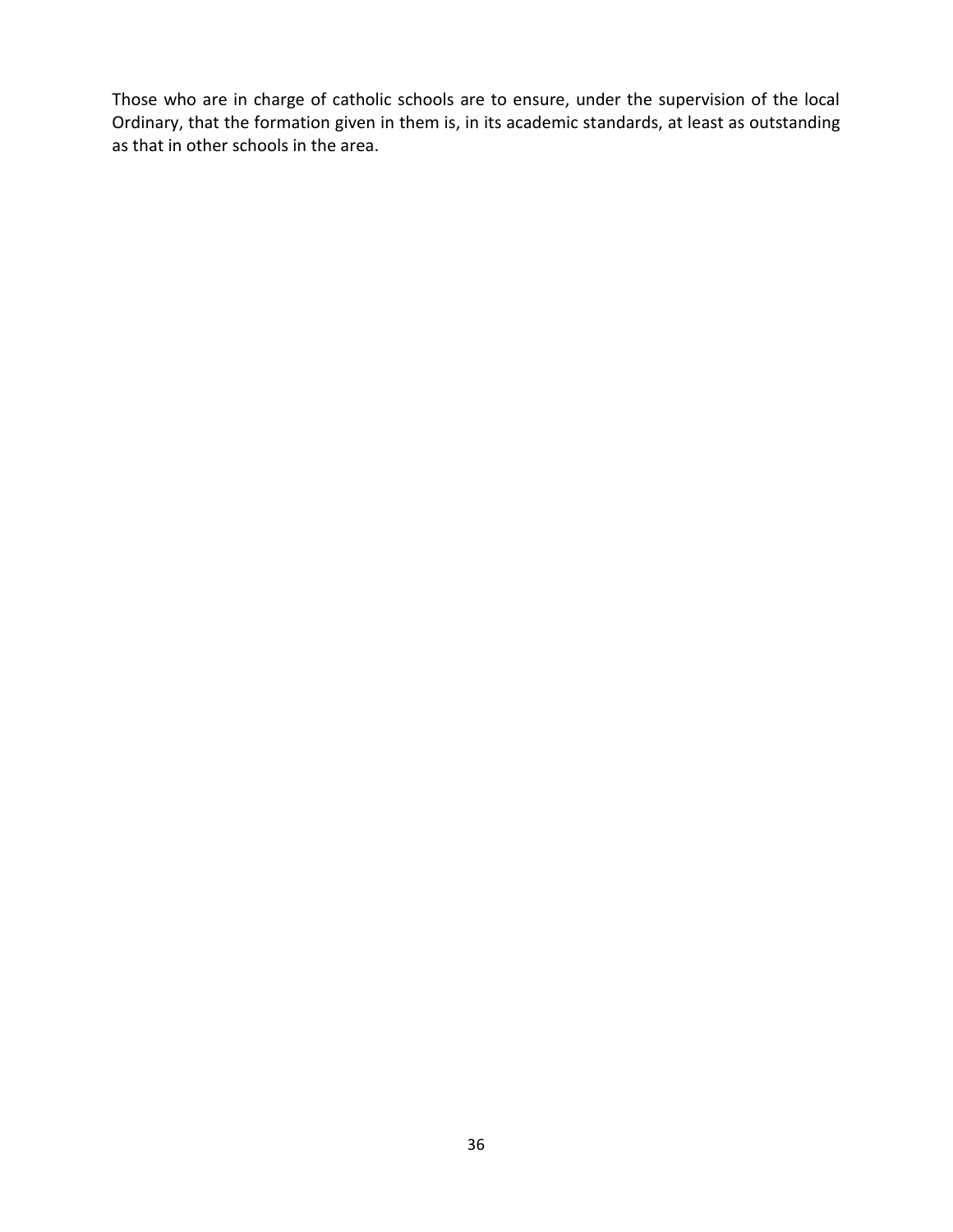Those who are in charge of catholic schools are to ensure, under the supervision of the local Ordinary, that the formation given in them is, in its academic standards, at least as outstanding as that in other schools in the area.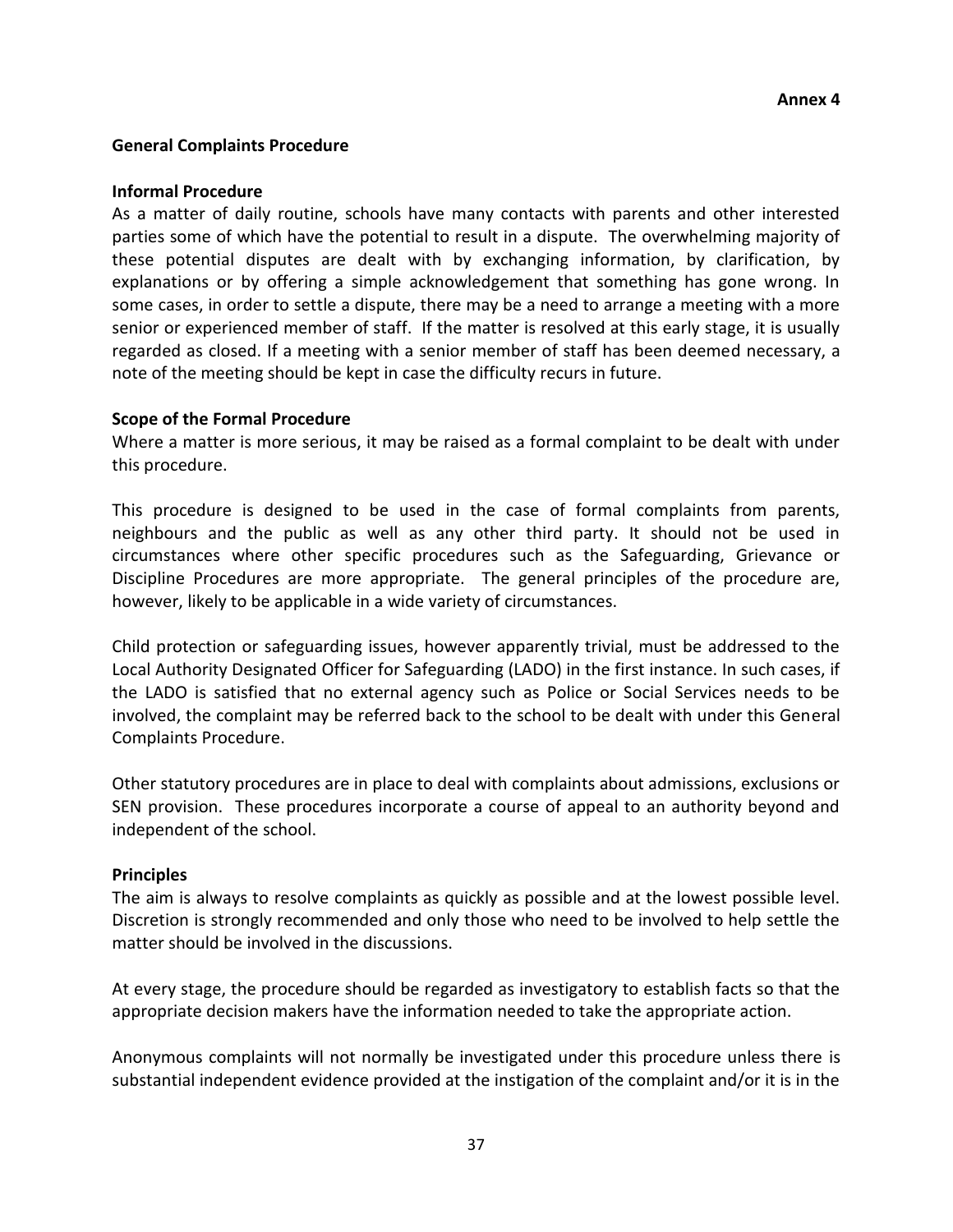#### **General Complaints Procedure**

#### **Informal Procedure**

As a matter of daily routine, schools have many contacts with parents and other interested parties some of which have the potential to result in a dispute. The overwhelming majority of these potential disputes are dealt with by exchanging information, by clarification, by explanations or by offering a simple acknowledgement that something has gone wrong. In some cases, in order to settle a dispute, there may be a need to arrange a meeting with a more senior or experienced member of staff. If the matter is resolved at this early stage, it is usually regarded as closed. If a meeting with a senior member of staff has been deemed necessary, a note of the meeting should be kept in case the difficulty recurs in future.

#### **Scope of the Formal Procedure**

Where a matter is more serious, it may be raised as a formal complaint to be dealt with under this procedure.

This procedure is designed to be used in the case of formal complaints from parents, neighbours and the public as well as any other third party. It should not be used in circumstances where other specific procedures such as the Safeguarding, Grievance or Discipline Procedures are more appropriate. The general principles of the procedure are, however, likely to be applicable in a wide variety of circumstances.

Child protection or safeguarding issues, however apparently trivial, must be addressed to the Local Authority Designated Officer for Safeguarding (LADO) in the first instance. In such cases, if the LADO is satisfied that no external agency such as Police or Social Services needs to be involved, the complaint may be referred back to the school to be dealt with under this General Complaints Procedure.

Other statutory procedures are in place to deal with complaints about admissions, exclusions or SEN provision. These procedures incorporate a course of appeal to an authority beyond and independent of the school.

#### **Principles**

The aim is always to resolve complaints as quickly as possible and at the lowest possible level. Discretion is strongly recommended and only those who need to be involved to help settle the matter should be involved in the discussions.

At every stage, the procedure should be regarded as investigatory to establish facts so that the appropriate decision makers have the information needed to take the appropriate action.

Anonymous complaints will not normally be investigated under this procedure unless there is substantial independent evidence provided at the instigation of the complaint and/or it is in the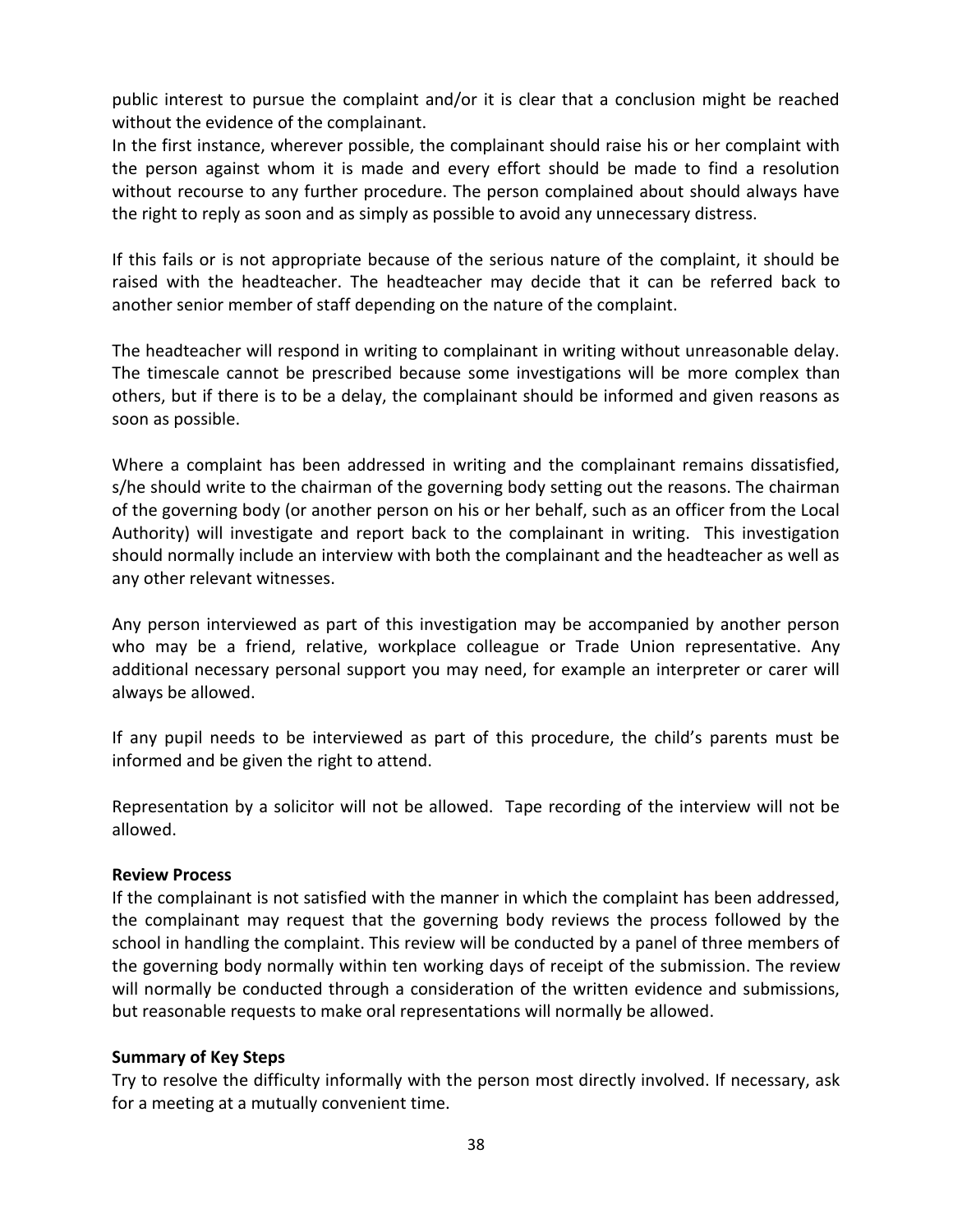public interest to pursue the complaint and/or it is clear that a conclusion might be reached without the evidence of the complainant.

In the first instance, wherever possible, the complainant should raise his or her complaint with the person against whom it is made and every effort should be made to find a resolution without recourse to any further procedure. The person complained about should always have the right to reply as soon and as simply as possible to avoid any unnecessary distress.

If this fails or is not appropriate because of the serious nature of the complaint, it should be raised with the headteacher. The headteacher may decide that it can be referred back to another senior member of staff depending on the nature of the complaint.

The headteacher will respond in writing to complainant in writing without unreasonable delay. The timescale cannot be prescribed because some investigations will be more complex than others, but if there is to be a delay, the complainant should be informed and given reasons as soon as possible.

Where a complaint has been addressed in writing and the complainant remains dissatisfied, s/he should write to the chairman of the governing body setting out the reasons. The chairman of the governing body (or another person on his or her behalf, such as an officer from the Local Authority) will investigate and report back to the complainant in writing. This investigation should normally include an interview with both the complainant and the headteacher as well as any other relevant witnesses.

Any person interviewed as part of this investigation may be accompanied by another person who may be a friend, relative, workplace colleague or Trade Union representative. Any additional necessary personal support you may need, for example an interpreter or carer will always be allowed.

If any pupil needs to be interviewed as part of this procedure, the child's parents must be informed and be given the right to attend.

Representation by a solicitor will not be allowed. Tape recording of the interview will not be allowed.

## **Review Process**

If the complainant is not satisfied with the manner in which the complaint has been addressed, the complainant may request that the governing body reviews the process followed by the school in handling the complaint. This review will be conducted by a panel of three members of the governing body normally within ten working days of receipt of the submission. The review will normally be conducted through a consideration of the written evidence and submissions, but reasonable requests to make oral representations will normally be allowed.

## **Summary of Key Steps**

Try to resolve the difficulty informally with the person most directly involved. If necessary, ask for a meeting at a mutually convenient time.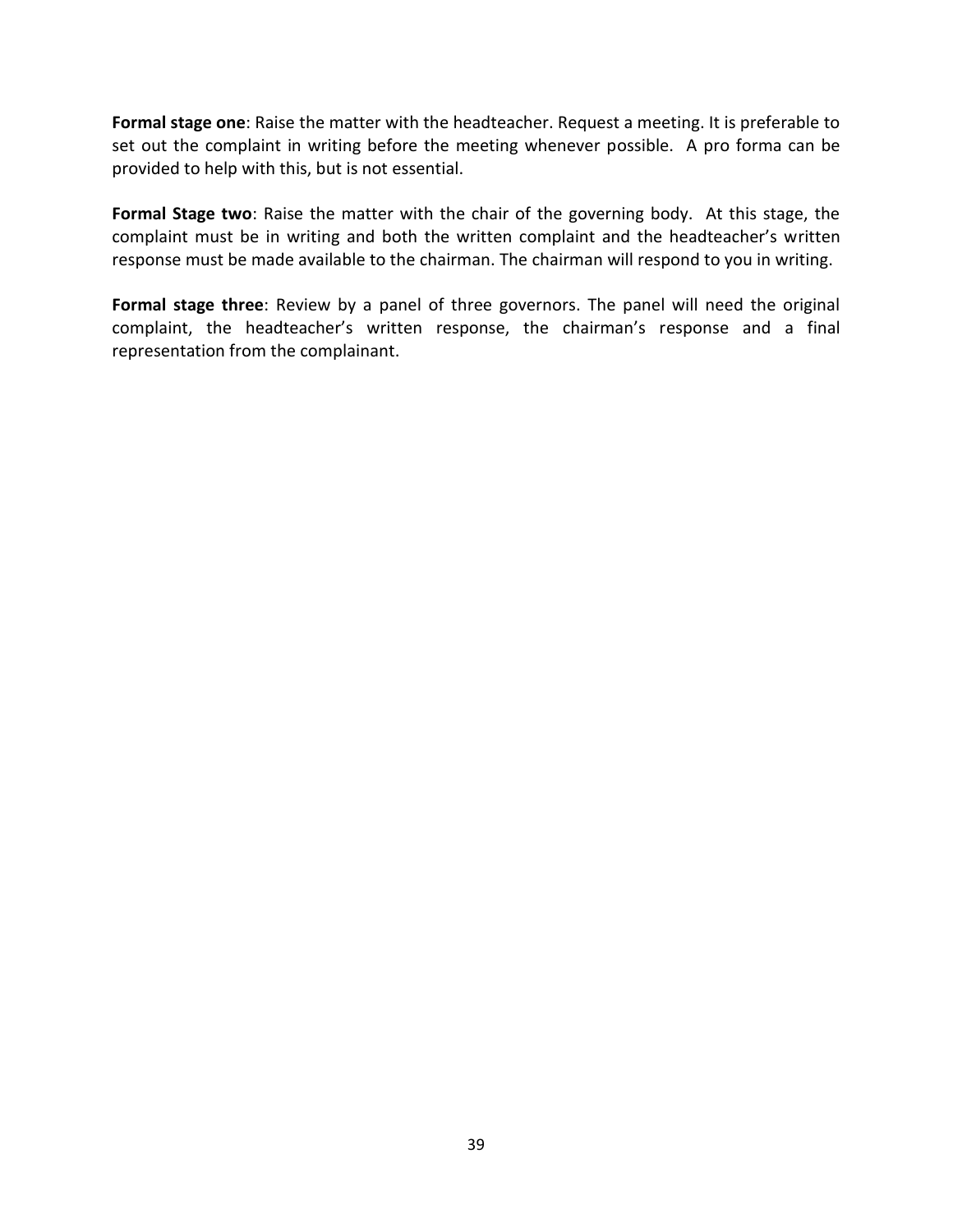**Formal stage one**: Raise the matter with the headteacher. Request a meeting. It is preferable to set out the complaint in writing before the meeting whenever possible. A pro forma can be provided to help with this, but is not essential.

**Formal Stage two**: Raise the matter with the chair of the governing body. At this stage, the complaint must be in writing and both the written complaint and the headteacher's written response must be made available to the chairman. The chairman will respond to you in writing.

**Formal stage three**: Review by a panel of three governors. The panel will need the original complaint, the headteacher's written response, the chairman's response and a final representation from the complainant.